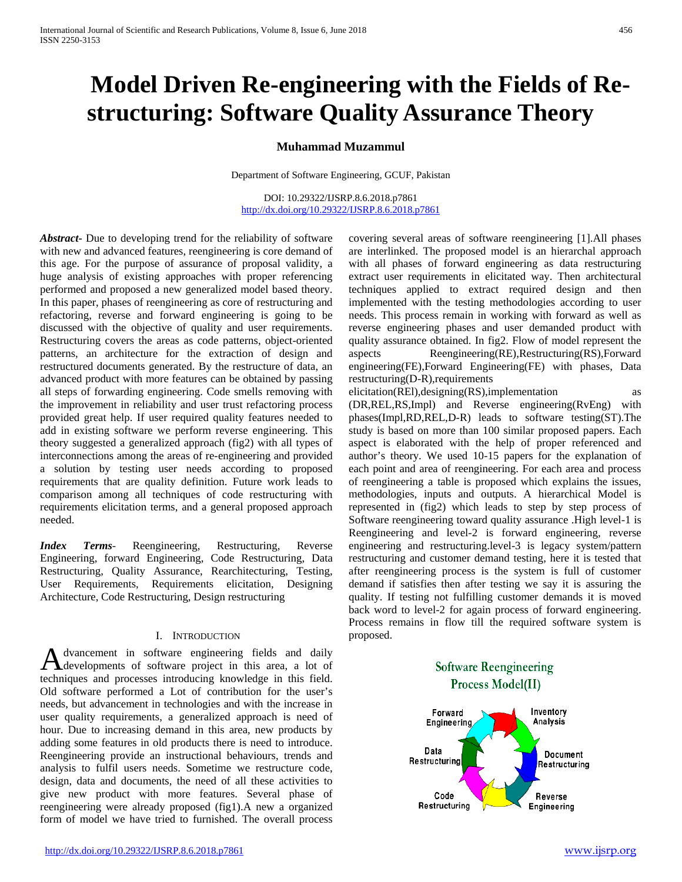# **Model Driven Re-engineering with the Fields of Restructuring: Software Quality Assurance Theory**

# **Muhammad Muzammul**

Department of Software Engineering, GCUF, Pakistan

DOI: 10.29322/IJSRP.8.6.2018.p7861 <http://dx.doi.org/10.29322/IJSRP.8.6.2018.p7861>

*Abstract***-** Due to developing trend for the reliability of software with new and advanced features, reengineering is core demand of this age. For the purpose of assurance of proposal validity, a huge analysis of existing approaches with proper referencing performed and proposed a new generalized model based theory. In this paper, phases of reengineering as core of restructuring and refactoring, reverse and forward engineering is going to be discussed with the objective of quality and user requirements. Restructuring covers the areas as code patterns, object-oriented patterns, an architecture for the extraction of design and restructured documents generated. By the restructure of data, an advanced product with more features can be obtained by passing all steps of forwarding engineering. Code smells removing with the improvement in reliability and user trust refactoring process provided great help. If user required quality features needed to add in existing software we perform reverse engineering. This theory suggested a generalized approach (fig2) with all types of interconnections among the areas of re-engineering and provided a solution by testing user needs according to proposed requirements that are quality definition. Future work leads to comparison among all techniques of code restructuring with requirements elicitation terms, and a general proposed approach needed.

*Index Terms*- Reengineering, Restructuring, Reverse Engineering, forward Engineering, Code Restructuring, Data Restructuring, Quality Assurance, Rearchitecturing, Testing, User Requirements, Requirements elicitation, Designing Architecture, Code Restructuring, Design restructuring

#### I. INTRODUCTION

dvancement in software engineering fields and daily developments of software project in this area, a lot of A dvancement in software engineering fields and daily developments of software project in this area, a lot of techniques and processes introducing knowledge in this field. Old software performed a Lot of contribution for the user's needs, but advancement in technologies and with the increase in user quality requirements, a generalized approach is need of hour. Due to increasing demand in this area, new products by adding some features in old products there is need to introduce. Reengineering provide an instructional behaviours, trends and analysis to fulfil users needs. Sometime we restructure code, design, data and documents, the need of all these activities to give new product with more features. Several phase of reengineering were already proposed (fig1).A new a organized form of model we have tried to furnished. The overall process

covering several areas of software reengineering [1].All phases are interlinked. The proposed model is an hierarchal approach with all phases of forward engineering as data restructuring extract user requirements in elicitated way. Then architectural techniques applied to extract required design and then implemented with the testing methodologies according to user needs. This process remain in working with forward as well as reverse engineering phases and user demanded product with quality assurance obtained. In fig2. Flow of model represent the aspects Reengineering(RE),Restructuring(RS),Forward engineering(FE),Forward Engineering(FE) with phases, Data restructuring(D-R),requirements

elicitation(REl),designing(RS),implementation as (DR,REL,RS,Impl) and Reverse engineering(RvEng) with phases(Impl,RD,REL,D-R) leads to software testing(ST).The study is based on more than 100 similar proposed papers. Each aspect is elaborated with the help of proper referenced and author's theory. We used 10-15 papers for the explanation of each point and area of reengineering. For each area and process of reengineering a table is proposed which explains the issues, methodologies, inputs and outputs. A hierarchical Model is represented in (fig2) which leads to step by step process of Software reengineering toward quality assurance .High level-1 is Reengineering and level-2 is forward engineering, reverse engineering and restructuring.level-3 is legacy system/pattern restructuring and customer demand testing, here it is tested that after reengineering process is the system is full of customer demand if satisfies then after testing we say it is assuring the quality. If testing not fulfilling customer demands it is moved back word to level-2 for again process of forward engineering. Process remains in flow till the required software system is proposed.

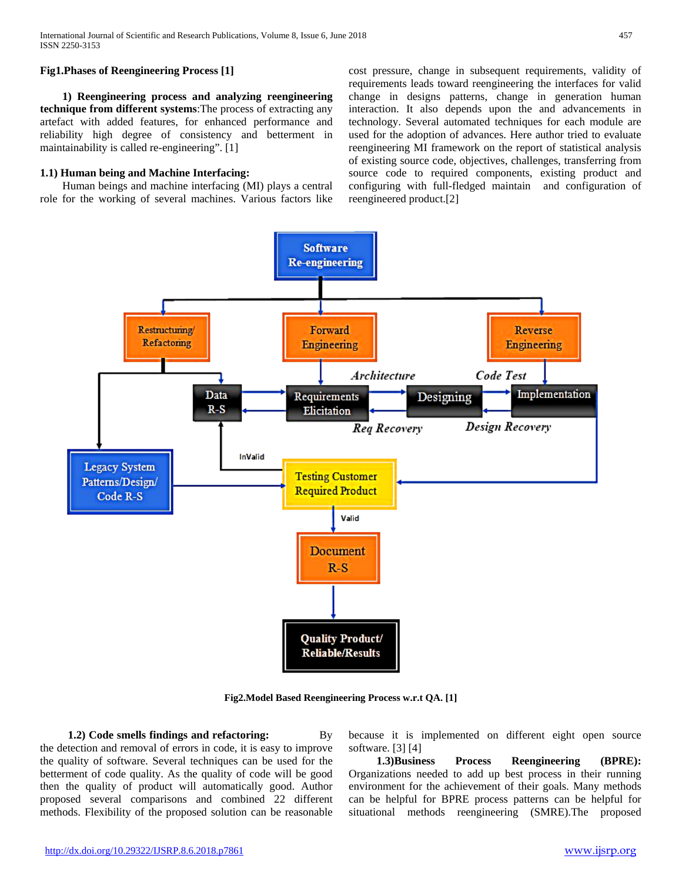#### **Fig1.Phases of Reengineering Process [1]**

 **1) Reengineering process and analyzing reengineering technique from different systems**:The process of extracting any artefact with added features, for enhanced performance and reliability high degree of consistency and betterment in maintainability is called re-engineering". [1]

#### **1.1) Human being and Machine Interfacing:**

Human beings and machine interfacing (MI) plays a central role for the working of several machines. Various factors like cost pressure, change in subsequent requirements, validity of requirements leads toward reengineering the interfaces for valid change in designs patterns, change in generation human interaction. It also depends upon the and advancements in technology. Several automated techniques for each module are used for the adoption of advances. Here author tried to evaluate reengineering MI framework on the report of statistical analysis of existing source code, objectives, challenges, transferring from source code to required components, existing product and configuring with full-fledged maintain and configuration of reengineered product.[2]



**Fig2.Model Based Reengineering Process w.r.t QA. [1]**

**1.2)** Code smells findings and refactoring: By the detection and removal of errors in code, it is easy to improve the quality of software. Several techniques can be used for the betterment of code quality. As the quality of code will be good then the quality of product will automatically good. Author proposed several comparisons and combined 22 different methods. Flexibility of the proposed solution can be reasonable

because it is implemented on different eight open source software. [3] [4]

 **1.3)Business Process Reengineering (BPRE):**  Organizations needed to add up best process in their running environment for the achievement of their goals. Many methods can be helpful for BPRE process patterns can be helpful for situational methods reengineering (SMRE).The proposed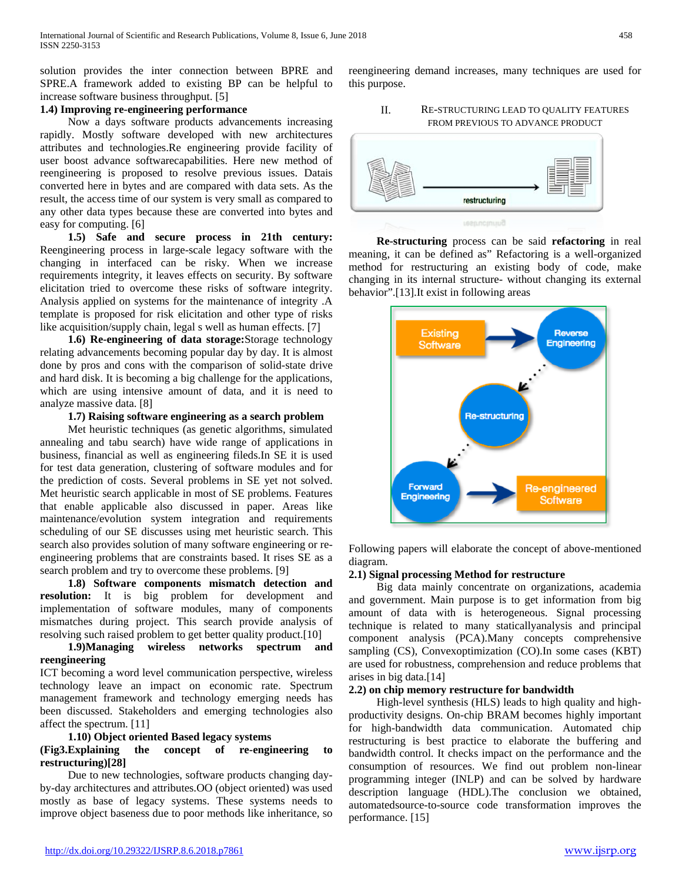solution provides the inter connection between BPRE and SPRE.A framework added to existing BP can be helpful to increase software business throughput. [5]

#### **1.4) Improving re-engineering performance**

Now a days software products advancements increasing rapidly. Mostly software developed with new architectures attributes and technologies.Re engineering provide facility of user boost advance softwarecapabilities. Here new method of reengineering is proposed to resolve previous issues. Datais converted here in bytes and are compared with data sets. As the result, the access time of our system is very small as compared to any other data types because these are converted into bytes and easy for computing. [6]

 **1.5) Safe and secure process in 21th century:**  Reengineering process in large-scale legacy software with the changing in interfaced can be risky. When we increase requirements integrity, it leaves effects on security. By software elicitation tried to overcome these risks of software integrity. Analysis applied on systems for the maintenance of integrity .A template is proposed for risk elicitation and other type of risks like acquisition/supply chain, legal s well as human effects. [7]

 **1.6) Re-engineering of data storage:**Storage technology relating advancements becoming popular day by day. It is almost done by pros and cons with the comparison of solid-state drive and hard disk. It is becoming a big challenge for the applications, which are using intensive amount of data, and it is need to analyze massive data. [8]

#### **1.7) Raising software engineering as a search problem**

Met heuristic techniques (as genetic algorithms, simulated annealing and tabu search) have wide range of applications in business, financial as well as engineering fileds.In SE it is used for test data generation, clustering of software modules and for the prediction of costs. Several problems in SE yet not solved. Met heuristic search applicable in most of SE problems. Features that enable applicable also discussed in paper. Areas like maintenance/evolution system integration and requirements scheduling of our SE discusses using met heuristic search. This search also provides solution of many software engineering or reengineering problems that are constraints based. It rises SE as a search problem and try to overcome these problems. [9]

 **1.8) Software components mismatch detection and resolution:** It is big problem for development and implementation of software modules, many of components mismatches during project. This search provide analysis of resolving such raised problem to get better quality product.[10]

#### **1.9)Managing wireless networks spectrum and reengineering**

ICT becoming a word level communication perspective, wireless technology leave an impact on economic rate. Spectrum management framework and technology emerging needs has been discussed. Stakeholders and emerging technologies also affect the spectrum. [11]

#### **1.10) Object oriented Based legacy systems**

# **(Fig3.Explaining the concept of re-engineering to restructuring)[28]**

Due to new technologies, software products changing dayby-day architectures and attributes.OO (object oriented) was used mostly as base of legacy systems. These systems needs to improve object baseness due to poor methods like inheritance, so

reengineering demand increases, many techniques are used for this purpose.

# II. RE-STRUCTURING LEAD TO QUALITY FEATURES FROM PREVIOUS TO ADVANCE PRODUCT



 **Re-structuring** process can be said **refactoring** in real meaning, it can be defined as" Refactoring is a well-organized method for restructuring an existing body of code, make changing in its internal structure- without changing its external behavior".[13].It exist in following areas



Following papers will elaborate the concept of above-mentioned diagram.

#### **2.1) Signal processing Method for restructure**

Big data mainly concentrate on organizations, academia and government. Main purpose is to get information from big amount of data with is heterogeneous. Signal processing technique is related to many staticallyanalysis and principal component analysis (PCA).Many concepts comprehensive sampling (CS), Convexoptimization (CO).In some cases (KBT) are used for robustness, comprehension and reduce problems that arises in big data.[14]

#### **2.2) on chip memory restructure for bandwidth**

High-level synthesis (HLS) leads to high quality and highproductivity designs. On-chip BRAM becomes highly important for high-bandwidth data communication. Automated chip restructuring is best practice to elaborate the buffering and bandwidth control. It checks impact on the performance and the consumption of resources. We find out problem non-linear programming integer (INLP) and can be solved by hardware description language (HDL).The conclusion we obtained, automatedsource-to-source code transformation improves the performance. [15]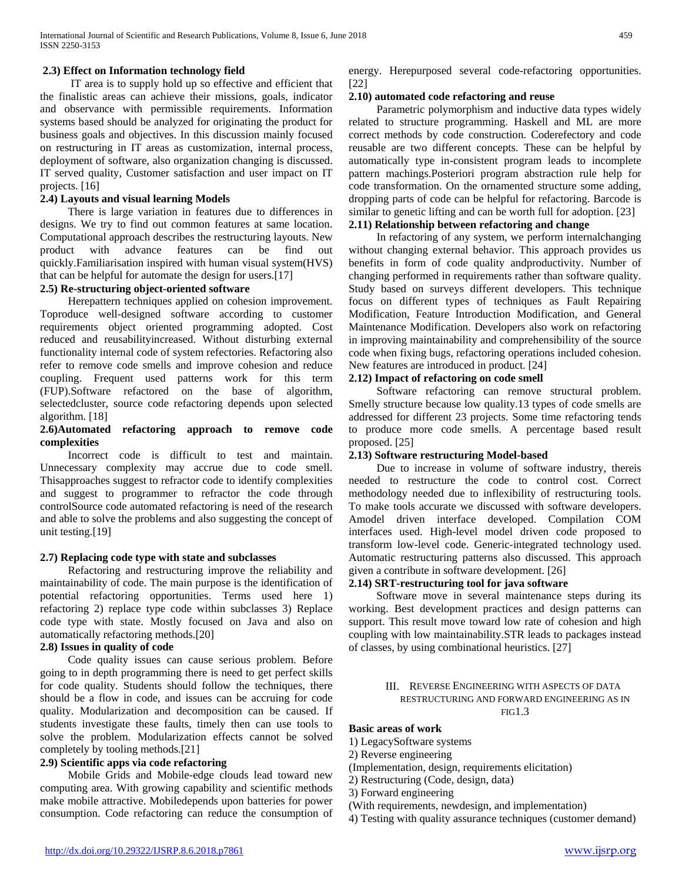# **2.3) Effect on Information technology field**

IT area is to supply hold up so effective and efficient that the finalistic areas can achieve their missions, goals, indicator and observance with permissible requirements. Information systems based should be analyzed for originating the product for business goals and objectives. In this discussion mainly focused on restructuring in IT areas as customization, internal process, deployment of software, also organization changing is discussed. IT served quality, Customer satisfaction and user impact on IT projects. [16]

#### **2.4) Layouts and visual learning Models**

There is large variation in features due to differences in designs. We try to find out common features at same location. Computational approach describes the restructuring layouts. New product with advance features can be find out quickly.Familiarisation inspired with human visual system(HVS) that can be helpful for automate the design for users.[17]

#### **2.5) Re-structuring object-oriented software**

Herepattern techniques applied on cohesion improvement. Toproduce well-designed software according to customer requirements object oriented programming adopted. Cost reduced and reusabilityincreased. Without disturbing external functionality internal code of system refectories. Refactoring also refer to remove code smells and improve cohesion and reduce coupling. Frequent used patterns work for this term (FUP).Software refactored on the base of algorithm, selectedcluster, source code refactoring depends upon selected algorithm. [18]

# **2.6)Automated refactoring approach to remove code complexities**

Incorrect code is difficult to test and maintain. Unnecessary complexity may accrue due to code smell. Thisapproaches suggest to refractor code to identify complexities and suggest to programmer to refractor the code through controlSource code automated refactoring is need of the research and able to solve the problems and also suggesting the concept of unit testing.[19]

#### **2.7) Replacing code type with state and subclasses**

Refactoring and restructuring improve the reliability and maintainability of code. The main purpose is the identification of potential refactoring opportunities. Terms used here 1) refactoring 2) replace type code within subclasses 3) Replace code type with state. Mostly focused on Java and also on automatically refactoring methods.[20]

#### **2.8) Issues in quality of code**

Code quality issues can cause serious problem. Before going to in depth programming there is need to get perfect skills for code quality. Students should follow the techniques, there should be a flow in code, and issues can be accruing for code quality. Modularization and decomposition can be caused. If students investigate these faults, timely then can use tools to solve the problem. Modularization effects cannot be solved completely by tooling methods.[21]

#### **2.9) Scientific apps via code refactoring**

Mobile Grids and Mobile-edge clouds lead toward new computing area. With growing capability and scientific methods make mobile attractive. Mobiledepends upon batteries for power consumption. Code refactoring can reduce the consumption of

#### **2.10) automated code refactoring and reuse**

Parametric polymorphism and inductive data types widely related to structure programming. Haskell and ML are more correct methods by code construction. Coderefectory and code reusable are two different concepts. These can be helpful by automatically type in-consistent program leads to incomplete pattern machings.Posteriori program abstraction rule help for code transformation. On the ornamented structure some adding, dropping parts of code can be helpful for refactoring. Barcode is similar to genetic lifting and can be worth full for adoption. [23] **2.11) Relationship between refactoring and change**

In refactoring of any system, we perform internalchanging without changing external behavior. This approach provides us benefits in form of code quality andproductivity. Number of changing performed in requirements rather than software quality. Study based on surveys different developers. This technique focus on different types of techniques as Fault Repairing Modification, Feature Introduction Modification, and General Maintenance Modification. Developers also work on refactoring in improving maintainability and comprehensibility of the source code when fixing bugs, refactoring operations included cohesion. New features are introduced in product. [24]

#### **2.12) Impact of refactoring on code smell**

Software refactoring can remove structural problem. Smelly structure because low quality.13 types of code smells are addressed for different 23 projects. Some time refactoring tends to produce more code smells. A percentage based result proposed. [25]

#### **2.13) Software restructuring Model-based**

Due to increase in volume of software industry, thereis needed to restructure the code to control cost. Correct methodology needed due to inflexibility of restructuring tools. To make tools accurate we discussed with software developers. Amodel driven interface developed. Compilation COM interfaces used. High-level model driven code proposed to transform low-level code. Generic-integrated technology used. Automatic restructuring patterns also discussed. This approach given a contribute in software development. [26]

#### **2.14) SRT-restructuring tool for java software**

Software move in several maintenance steps during its working. Best development practices and design patterns can support. This result move toward low rate of cohesion and high coupling with low maintainability.STR leads to packages instead of classes, by using combinational heuristics. [27]

> III. REVERSE ENGINEERING WITH ASPECTS OF DATA RESTRUCTURING AND FORWARD ENGINEERING AS IN  $FIG1.3$

# **Basic areas of work**

- 1) LegacySoftware systems
- 2) Reverse engineering
- (Implementation, design, requirements elicitation)
- 2) Restructuring (Code, design, data)
- 3) Forward engineering
- (With requirements, newdesign, and implementation)
- 4) Testing with quality assurance techniques (customer demand)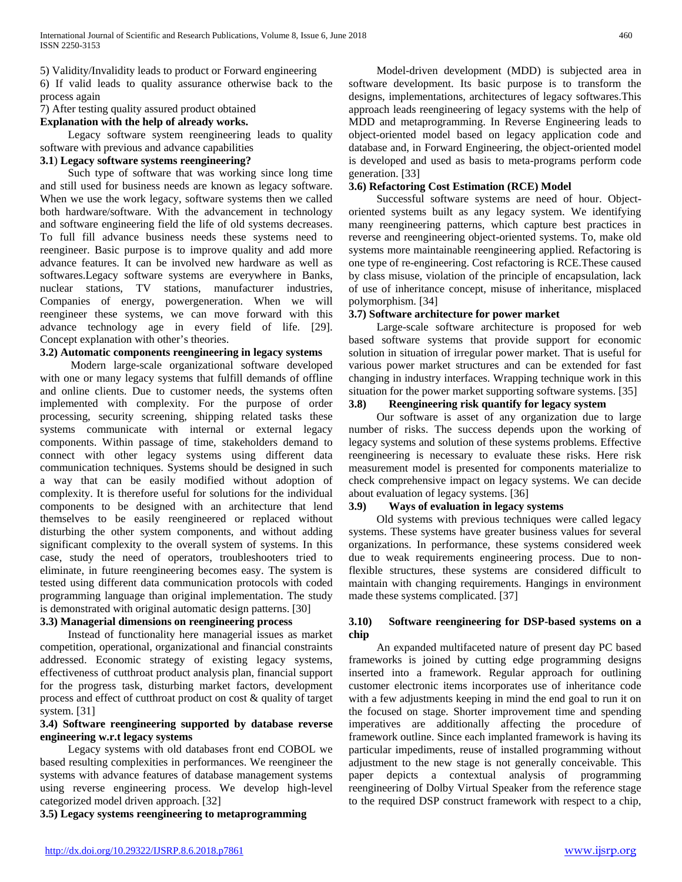5) Validity/Invalidity leads to product or Forward engineering 6) If valid leads to quality assurance otherwise back to the process again

7) After testing quality assured product obtained

# **Explanation with the help of already works.**

Legacy software system reengineering leads to quality software with previous and advance capabilities

# **3.1**) **Legacy software systems reengineering?**

Such type of software that was working since long time and still used for business needs are known as legacy software. When we use the work legacy, software systems then we called both hardware/software. With the advancement in technology and software engineering field the life of old systems decreases. To full fill advance business needs these systems need to reengineer. Basic purpose is to improve quality and add more advance features. It can be involved new hardware as well as softwares.Legacy software systems are everywhere in Banks, nuclear stations, TV stations, manufacturer industries, Companies of energy, powergeneration. When we will reengineer these systems, we can move forward with this advance technology age in every field of life. [29]. Concept explanation with other's theories.

#### **3.2) Automatic components reengineering in legacy systems**

Modern large-scale organizational software developed with one or many legacy systems that fulfill demands of offline and online clients. Due to customer needs, the systems often implemented with complexity. For the purpose of order processing, security screening, shipping related tasks these systems communicate with internal or external legacy components. Within passage of time, stakeholders demand to connect with other legacy systems using different data communication techniques. Systems should be designed in such a way that can be easily modified without adoption of complexity. It is therefore useful for solutions for the individual components to be designed with an architecture that lend themselves to be easily reengineered or replaced without disturbing the other system components, and without adding significant complexity to the overall system of systems. In this case, study the need of operators, troubleshooters tried to eliminate, in future reengineering becomes easy. The system is tested using different data communication protocols with coded programming language than original implementation. The study is demonstrated with original automatic design patterns. [30]

# **3.3) Managerial dimensions on reengineering process**

Instead of functionality here managerial issues as market competition, operational, organizational and financial constraints addressed. Economic strategy of existing legacy systems, effectiveness of cutthroat product analysis plan, financial support for the progress task, disturbing market factors, development process and effect of cutthroat product on cost & quality of target system. [31]

# **3.4) Software reengineering supported by database reverse engineering w.r.t legacy systems**

Legacy systems with old databases front end COBOL we based resulting complexities in performances. We reengineer the systems with advance features of database management systems using reverse engineering process. We develop high-level categorized model driven approach. [32]

**3.5) Legacy systems reengineering to metaprogramming**

Model-driven development (MDD) is subjected area in software development. Its basic purpose is to transform the designs, implementations, architectures of legacy softwares.This approach leads reengineering of legacy systems with the help of MDD and metaprogramming. In Reverse Engineering leads to object-oriented model based on legacy application code and database and, in Forward Engineering, the object-oriented model is developed and used as basis to meta-programs perform code generation. [33]

# **3.6) Refactoring Cost Estimation (RCE) Model**

Successful software systems are need of hour. Objectoriented systems built as any legacy system. We identifying many reengineering patterns, which capture best practices in reverse and reengineering object-oriented systems. To, make old systems more maintainable reengineering applied. Refactoring is one type of re-engineering. Cost refactoring is RCE.These caused by class misuse, violation of the principle of encapsulation, lack of use of inheritance concept, misuse of inheritance, misplaced polymorphism. [34]

#### **3.7) Software architecture for power market**

Large-scale software architecture is proposed for web based software systems that provide support for economic solution in situation of irregular power market. That is useful for various power market structures and can be extended for fast changing in industry interfaces. Wrapping technique work in this situation for the power market supporting software systems. [35]

# **3.8) Reengineering risk quantify for legacy system**

Our software is asset of any organization due to large number of risks. The success depends upon the working of legacy systems and solution of these systems problems. Effective reengineering is necessary to evaluate these risks. Here risk measurement model is presented for components materialize to check comprehensive impact on legacy systems. We can decide about evaluation of legacy systems. [36]

#### **3.9) Ways of evaluation in legacy systems**

Old systems with previous techniques were called legacy systems. These systems have greater business values for several organizations. In performance, these systems considered week due to weak requirements engineering process. Due to nonflexible structures, these systems are considered difficult to maintain with changing requirements. Hangings in environment made these systems complicated. [37]

#### **3.10) Software reengineering for DSP-based systems on a chip**

An expanded multifaceted nature of present day PC based frameworks is joined by cutting edge programming designs inserted into a framework. Regular approach for outlining customer electronic items incorporates use of inheritance code with a few adjustments keeping in mind the end goal to run it on the focused on stage. Shorter improvement time and spending imperatives are additionally affecting the procedure of framework outline. Since each implanted framework is having its particular impediments, reuse of installed programming without adjustment to the new stage is not generally conceivable. This paper depicts a contextual analysis of programming reengineering of Dolby Virtual Speaker from the reference stage to the required DSP construct framework with respect to a chip,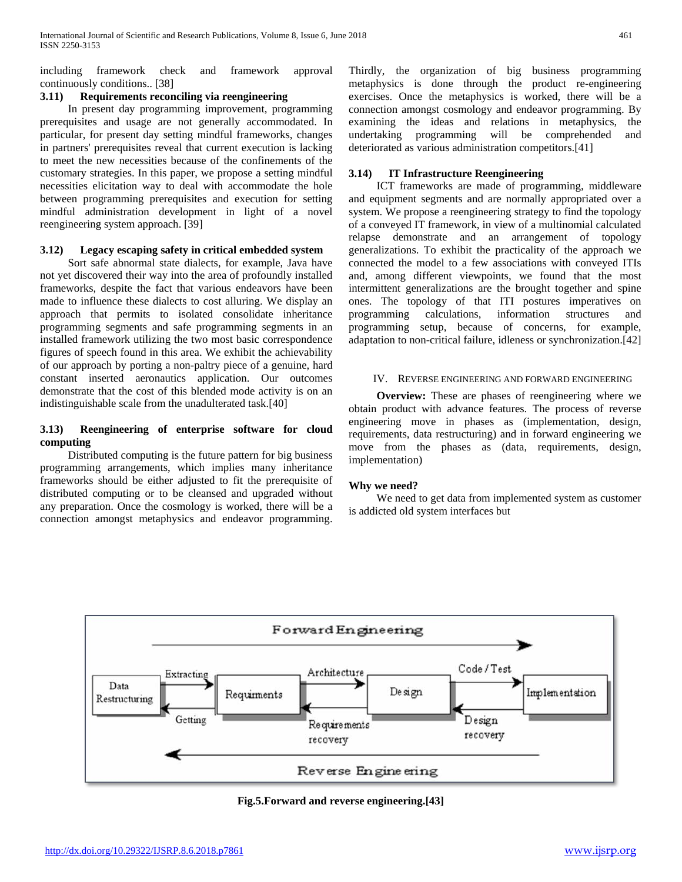including framework check and framework approval continuously conditions.. [38]

### **3.11) Requirements reconciling via reengineering**

In present day programming improvement, programming prerequisites and usage are not generally accommodated. In particular, for present day setting mindful frameworks, changes in partners' prerequisites reveal that current execution is lacking to meet the new necessities because of the confinements of the customary strategies. In this paper, we propose a setting mindful necessities elicitation way to deal with accommodate the hole between programming prerequisites and execution for setting mindful administration development in light of a novel reengineering system approach. [39]

# **3.12) Legacy escaping safety in critical embedded system**

Sort safe abnormal state dialects, for example, Java have not yet discovered their way into the area of profoundly installed frameworks, despite the fact that various endeavors have been made to influence these dialects to cost alluring. We display an approach that permits to isolated consolidate inheritance programming segments and safe programming segments in an installed framework utilizing the two most basic correspondence figures of speech found in this area. We exhibit the achievability of our approach by porting a non-paltry piece of a genuine, hard constant inserted aeronautics application. Our outcomes demonstrate that the cost of this blended mode activity is on an indistinguishable scale from the unadulterated task.[40]

# **3.13) Reengineering of enterprise software for cloud computing**

Distributed computing is the future pattern for big business programming arrangements, which implies many inheritance frameworks should be either adjusted to fit the prerequisite of distributed computing or to be cleansed and upgraded without any preparation. Once the cosmology is worked, there will be a connection amongst metaphysics and endeavor programming.

Thirdly, the organization of big business programming metaphysics is done through the product re-engineering exercises. Once the metaphysics is worked, there will be a connection amongst cosmology and endeavor programming. By examining the ideas and relations in metaphysics, the undertaking programming will be comprehended and deteriorated as various administration competitors.[41]

# **3.14) IT Infrastructure Reengineering**

ICT frameworks are made of programming, middleware and equipment segments and are normally appropriated over a system. We propose a reengineering strategy to find the topology of a conveyed IT framework, in view of a multinomial calculated relapse demonstrate and an arrangement of topology generalizations. To exhibit the practicality of the approach we connected the model to a few associations with conveyed ITIs and, among different viewpoints, we found that the most intermittent generalizations are the brought together and spine ones. The topology of that ITI postures imperatives on programming calculations, information structures and programming setup, because of concerns, for example, adaptation to non-critical failure, idleness or synchronization.[42]

#### IV. REVERSE ENGINEERING AND FORWARD ENGINEERING

**Overview:** These are phases of reengineering where we obtain product with advance features. The process of reverse engineering move in phases as (implementation, design, requirements, data restructuring) and in forward engineering we move from the phases as (data, requirements, design, implementation)

# **Why we need?**

We need to get data from implemented system as customer is addicted old system interfaces but



**Fig.5.Forward and reverse engineering.[43]**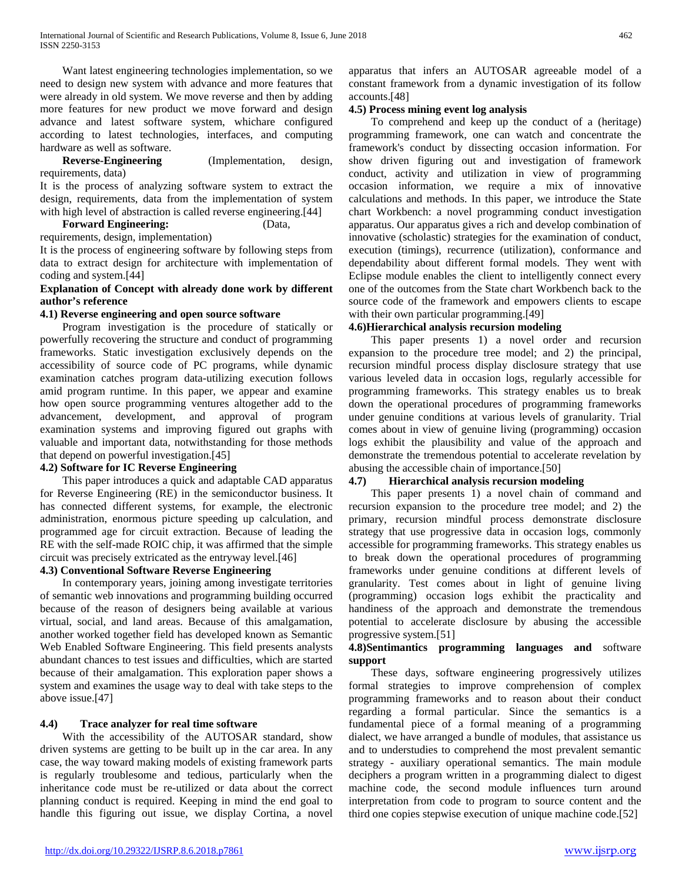Want latest engineering technologies implementation, so we need to design new system with advance and more features that were already in old system. We move reverse and then by adding more features for new product we move forward and design advance and latest software system, whichare configured according to latest technologies, interfaces, and computing hardware as well as software.

 **Reverse-Engineering** (Implementation, design, requirements, data)

It is the process of analyzing software system to extract the design, requirements, data from the implementation of system with high level of abstraction is called reverse engineering.[44]

#### **Forward Engineering:** (Data,

requirements, design, implementation)

It is the process of engineering software by following steps from data to extract design for architecture with implementation of coding and system.[44]

# **Explanation of Concept with already done work by different author's reference**

#### **4.1) Reverse engineering and open source software**

 Program investigation is the procedure of statically or powerfully recovering the structure and conduct of programming frameworks. Static investigation exclusively depends on the accessibility of source code of PC programs, while dynamic examination catches program data-utilizing execution follows amid program runtime. In this paper, we appear and examine how open source programming ventures altogether add to the advancement, development, and approval of program examination systems and improving figured out graphs with valuable and important data, notwithstanding for those methods that depend on powerful investigation.[45]

# **4.2) Software for IC Reverse Engineering**

 This paper introduces a quick and adaptable CAD apparatus for Reverse Engineering (RE) in the semiconductor business. It has connected different systems, for example, the electronic administration, enormous picture speeding up calculation, and programmed age for circuit extraction. Because of leading the RE with the self-made ROIC chip, it was affirmed that the simple circuit was precisely extricated as the entryway level.[46]

#### **4.3) Conventional Software Reverse Engineering**

 In contemporary years, joining among investigate territories of semantic web innovations and programming building occurred because of the reason of designers being available at various virtual, social, and land areas. Because of this amalgamation, another worked together field has developed known as Semantic Web Enabled Software Engineering. This field presents analysts abundant chances to test issues and difficulties, which are started because of their amalgamation. This exploration paper shows a system and examines the usage way to deal with take steps to the above issue.[47]

# **4.4) Trace analyzer for real time software**

 With the accessibility of the AUTOSAR standard, show driven systems are getting to be built up in the car area. In any case, the way toward making models of existing framework parts is regularly troublesome and tedious, particularly when the inheritance code must be re-utilized or data about the correct planning conduct is required. Keeping in mind the end goal to handle this figuring out issue, we display Cortina, a novel apparatus that infers an AUTOSAR agreeable model of a constant framework from a dynamic investigation of its follow accounts.[48]

# **4.5) Process mining event log analysis**

 To comprehend and keep up the conduct of a (heritage) programming framework, one can watch and concentrate the framework's conduct by dissecting occasion information. For show driven figuring out and investigation of framework conduct, activity and utilization in view of programming occasion information, we require a mix of innovative calculations and methods. In this paper, we introduce the State chart Workbench: a novel programming conduct investigation apparatus. Our apparatus gives a rich and develop combination of innovative (scholastic) strategies for the examination of conduct, execution (timings), recurrence (utilization), conformance and dependability about different formal models. They went with Eclipse module enables the client to intelligently connect every one of the outcomes from the State chart Workbench back to the source code of the framework and empowers clients to escape with their own particular programming.<sup>[49]</sup>

#### **4.6)Hierarchical analysis recursion modeling**

 This paper presents 1) a novel order and recursion expansion to the procedure tree model; and 2) the principal, recursion mindful process display disclosure strategy that use various leveled data in occasion logs, regularly accessible for programming frameworks. This strategy enables us to break down the operational procedures of programming frameworks under genuine conditions at various levels of granularity. Trial comes about in view of genuine living (programming) occasion logs exhibit the plausibility and value of the approach and demonstrate the tremendous potential to accelerate revelation by abusing the accessible chain of importance.[50]

#### **4.7) Hierarchical analysis recursion modeling**

 This paper presents 1) a novel chain of command and recursion expansion to the procedure tree model; and 2) the primary, recursion mindful process demonstrate disclosure strategy that use progressive data in occasion logs, commonly accessible for programming frameworks. This strategy enables us to break down the operational procedures of programming frameworks under genuine conditions at different levels of granularity. Test comes about in light of genuine living (programming) occasion logs exhibit the practicality and handiness of the approach and demonstrate the tremendous potential to accelerate disclosure by abusing the accessible progressive system.[51]

#### **4.8)Sentimantics programming languages and** software **support**

 These days, software engineering progressively utilizes formal strategies to improve comprehension of complex programming frameworks and to reason about their conduct regarding a formal particular. Since the semantics is a fundamental piece of a formal meaning of a programming dialect, we have arranged a bundle of modules, that assistance us and to understudies to comprehend the most prevalent semantic strategy - auxiliary operational semantics. The main module deciphers a program written in a programming dialect to digest machine code, the second module influences turn around interpretation from code to program to source content and the third one copies stepwise execution of unique machine code.[52]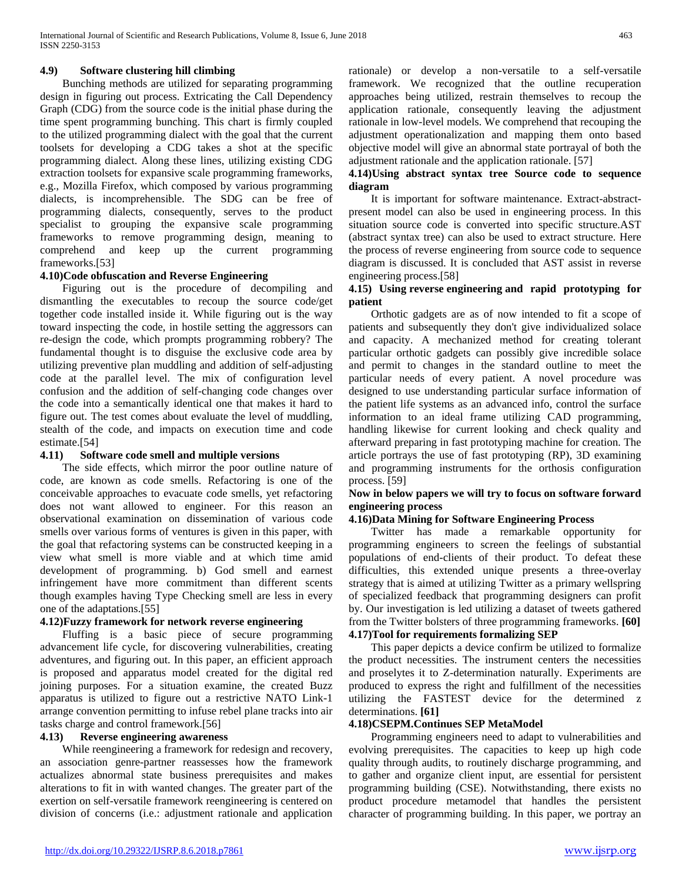# **4.9) Software clustering hill climbing**

 Bunching methods are utilized for separating programming design in figuring out process. Extricating the Call Dependency Graph (CDG) from the source code is the initial phase during the time spent programming bunching. This chart is firmly coupled to the utilized programming dialect with the goal that the current toolsets for developing a CDG takes a shot at the specific programming dialect. Along these lines, utilizing existing CDG extraction toolsets for expansive scale programming frameworks, e.g., Mozilla Firefox, which composed by various programming dialects, is incomprehensible. The SDG can be free of programming dialects, consequently, serves to the product specialist to grouping the expansive scale programming frameworks to remove programming design, meaning to comprehend and keep up the current programming frameworks.[53]

#### **4.10)Code obfuscation and Reverse Engineering**

 Figuring out is the procedure of decompiling and dismantling the executables to recoup the source code/get together code installed inside it. While figuring out is the way toward inspecting the code, in hostile setting the aggressors can re-design the code, which prompts programming robbery? The fundamental thought is to disguise the exclusive code area by utilizing preventive plan muddling and addition of self-adjusting code at the parallel level. The mix of configuration level confusion and the addition of self-changing code changes over the code into a semantically identical one that makes it hard to figure out. The test comes about evaluate the level of muddling, stealth of the code, and impacts on execution time and code estimate.[54]

#### **4.11) Software code smell and multiple versions**

 The side effects, which mirror the poor outline nature of code, are known as code smells. Refactoring is one of the conceivable approaches to evacuate code smells, yet refactoring does not want allowed to engineer. For this reason an observational examination on dissemination of various code smells over various forms of ventures is given in this paper, with the goal that refactoring systems can be constructed keeping in a view what smell is more viable and at which time amid development of programming. b) God smell and earnest infringement have more commitment than different scents though examples having Type Checking smell are less in every one of the adaptations.[55]

# **4.12)Fuzzy framework for network reverse engineering**

 Fluffing is a basic piece of secure programming advancement life cycle, for discovering vulnerabilities, creating adventures, and figuring out. In this paper, an efficient approach is proposed and apparatus model created for the digital red joining purposes. For a situation examine, the created Buzz apparatus is utilized to figure out a restrictive NATO Link-1 arrange convention permitting to infuse rebel plane tracks into air tasks charge and control framework.[56]

# **4.13) Reverse engineering awareness**

 While reengineering a framework for redesign and recovery, an association genre-partner reassesses how the framework actualizes abnormal state business prerequisites and makes alterations to fit in with wanted changes. The greater part of the exertion on self-versatile framework reengineering is centered on division of concerns (i.e.: adjustment rationale and application rationale) or develop a non-versatile to a self-versatile framework. We recognized that the outline recuperation approaches being utilized, restrain themselves to recoup the application rationale, consequently leaving the adjustment rationale in low-level models. We comprehend that recouping the adjustment operationalization and mapping them onto based objective model will give an abnormal state portrayal of both the adjustment rationale and the application rationale. [57]

#### **4.14)Using abstract syntax tree Source code to sequence diagram**

 It is important for software maintenance. Extract-abstractpresent model can also be used in engineering process. In this situation source code is converted into specific structure.AST (abstract syntax tree) can also be used to extract structure. Here the process of reverse engineering from source code to sequence diagram is discussed. It is concluded that AST assist in reverse engineering process.[58]

#### **4.15) Using reverse engineering and rapid prototyping for patient**

 Orthotic gadgets are as of now intended to fit a scope of patients and subsequently they don't give individualized solace and capacity. A mechanized method for creating tolerant particular orthotic gadgets can possibly give incredible solace and permit to changes in the standard outline to meet the particular needs of every patient. A novel procedure was designed to use understanding particular surface information of the patient life systems as an advanced info, control the surface information to an ideal frame utilizing CAD programming, handling likewise for current looking and check quality and afterward preparing in fast prototyping machine for creation. The article portrays the use of fast prototyping (RP), 3D examining and programming instruments for the orthosis configuration process. [59]

#### **Now in below papers we will try to focus on software forward engineering process**

# **4.16)Data Mining for Software Engineering Process**

 Twitter has made a remarkable opportunity for programming engineers to screen the feelings of substantial populations of end-clients of their product. To defeat these difficulties, this extended unique presents a three-overlay strategy that is aimed at utilizing Twitter as a primary wellspring of specialized feedback that programming designers can profit by. Our investigation is led utilizing a dataset of tweets gathered from the Twitter bolsters of three programming frameworks. **[60] 4.17)Tool for requirements formalizing SEP**

# This paper depicts a device confirm be utilized to formalize the product necessities. The instrument centers the necessities and proselytes it to Z-determination naturally. Experiments are produced to express the right and fulfillment of the necessities utilizing the FASTEST device for the determined z determinations. **[61]**

#### **4.18)CSEPM.Continues SEP MetaModel**

 Programming engineers need to adapt to vulnerabilities and evolving prerequisites. The capacities to keep up high code quality through audits, to routinely discharge programming, and to gather and organize client input, are essential for persistent programming building (CSE). Notwithstanding, there exists no product procedure metamodel that handles the persistent character of programming building. In this paper, we portray an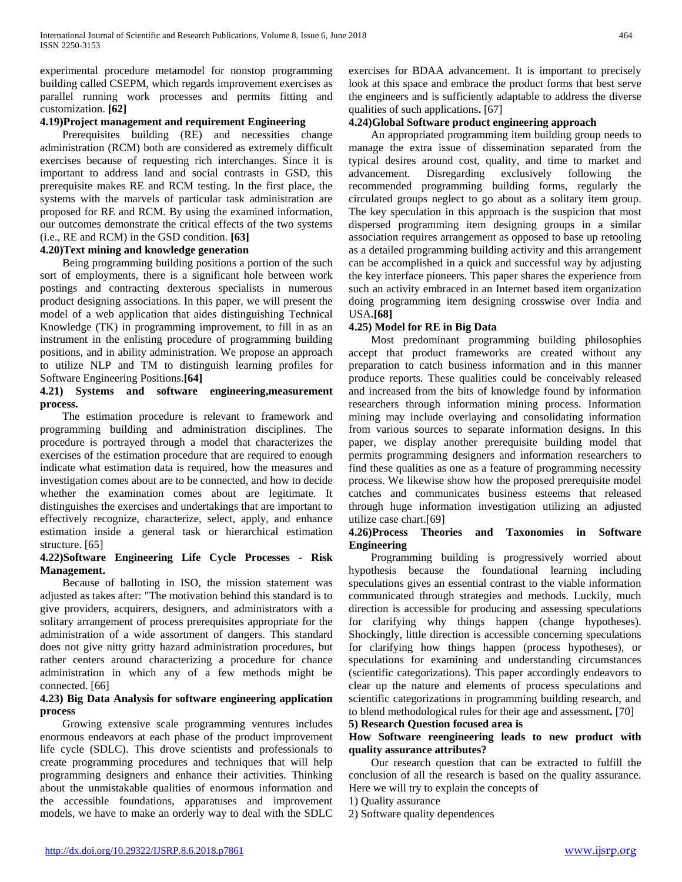experimental procedure metamodel for nonstop programming building called CSEPM, which regards improvement exercises as parallel running work processes and permits fitting and customization. **[62]**

# **4.19)Project management and requirement Engineering**

 Prerequisites building (RE) and necessities change administration (RCM) both are considered as extremely difficult exercises because of requesting rich interchanges. Since it is important to address land and social contrasts in GSD, this prerequisite makes RE and RCM testing. In the first place, the systems with the marvels of particular task administration are proposed for RE and RCM. By using the examined information, our outcomes demonstrate the critical effects of the two systems (i.e., RE and RCM) in the GSD condition. **[63]**

#### **4.20)Text mining and knowledge generation**

 Being programming building positions a portion of the such sort of employments, there is a significant hole between work postings and contracting dexterous specialists in numerous product designing associations. In this paper, we will present the model of a web application that aides distinguishing Technical Knowledge (TK) in programming improvement, to fill in as an instrument in the enlisting procedure of programming building positions, and in ability administration. We propose an approach to utilize NLP and TM to distinguish learning profiles for Software Engineering Positions.**[64]**

#### **4.21) Systems and software engineering,measurement process.**

 The estimation procedure is relevant to framework and programming building and administration disciplines. The procedure is portrayed through a model that characterizes the exercises of the estimation procedure that are required to enough indicate what estimation data is required, how the measures and investigation comes about are to be connected, and how to decide whether the examination comes about are legitimate. It distinguishes the exercises and undertakings that are important to effectively recognize, characterize, select, apply, and enhance estimation inside a general task or hierarchical estimation structure. [65]

#### **4.22)Software Engineering Life Cycle Processes - Risk Management.**

 Because of balloting in ISO, the mission statement was adjusted as takes after: "The motivation behind this standard is to give providers, acquirers, designers, and administrators with a solitary arrangement of process prerequisites appropriate for the administration of a wide assortment of dangers. This standard does not give nitty gritty hazard administration procedures, but rather centers around characterizing a procedure for chance administration in which any of a few methods might be connected. [66]

#### **4.23) Big Data Analysis for software engineering application process**

 Growing extensive scale programming ventures includes enormous endeavors at each phase of the product improvement life cycle (SDLC). This drove scientists and professionals to create programming procedures and techniques that will help programming designers and enhance their activities. Thinking about the unmistakable qualities of enormous information and the accessible foundations, apparatuses and improvement models, we have to make an orderly way to deal with the SDLC exercises for BDAA advancement. It is important to precisely look at this space and embrace the product forms that best serve the engineers and is sufficiently adaptable to address the diverse qualities of such applications**.** [67]

# **4.24)Global Software product engineering approach**

 An appropriated programming item building group needs to manage the extra issue of dissemination separated from the typical desires around cost, quality, and time to market and advancement. Disregarding exclusively following the recommended programming building forms, regularly the circulated groups neglect to go about as a solitary item group. The key speculation in this approach is the suspicion that most dispersed programming item designing groups in a similar association requires arrangement as opposed to base up retooling as a detailed programming building activity and this arrangement can be accomplished in a quick and successful way by adjusting the key interface pioneers. This paper shares the experience from such an activity embraced in an Internet based item organization doing programming item designing crosswise over India and USA**.[68]**

#### **4.25) Model for RE in Big Data**

 Most predominant programming building philosophies accept that product frameworks are created without any preparation to catch business information and in this manner produce reports. These qualities could be conceivably released and increased from the bits of knowledge found by information researchers through information mining process. Information mining may include overlaying and consolidating information from various sources to separate information designs. In this paper, we display another prerequisite building model that permits programming designers and information researchers to find these qualities as one as a feature of programming necessity process. We likewise show how the proposed prerequisite model catches and communicates business esteems that released through huge information investigation utilizing an adjusted utilize case chart.[69]

#### **4.26)Process Theories and Taxonomies in Software Engineering**

 Programming building is progressively worried about hypothesis because the foundational learning including speculations gives an essential contrast to the viable information communicated through strategies and methods. Luckily, much direction is accessible for producing and assessing speculations for clarifying why things happen (change hypotheses). Shockingly, little direction is accessible concerning speculations for clarifying how things happen (process hypotheses), or speculations for examining and understanding circumstances (scientific categorizations). This paper accordingly endeavors to clear up the nature and elements of process speculations and scientific categorizations in programming building research, and to blend methodological rules for their age and assessment**.** [70]

#### **5) Research Question focused area is**

#### **How Software reengineering leads to new product with quality assurance attributes?**

 Our research question that can be extracted to fulfill the conclusion of all the research is based on the quality assurance. Here we will try to explain the concepts of

1) Quality assurance

2) Software quality dependences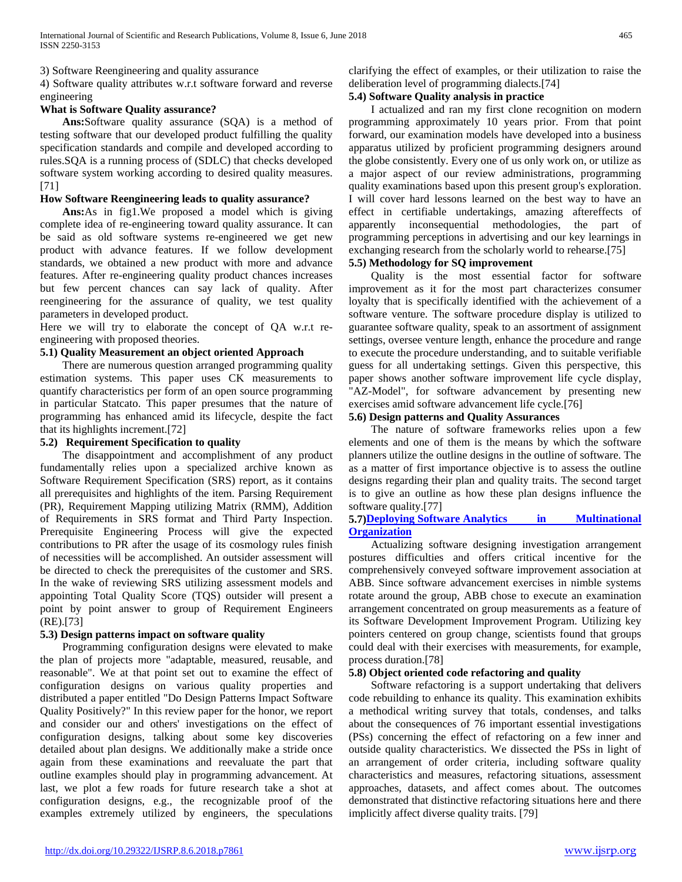3) Software Reengineering and quality assurance

4) Software quality attributes w.r.t software forward and reverse engineering

# **What is Software Quality assurance?**

 **Ans:**Software quality assurance (SQA) is a method of testing software that our developed product fulfilling the quality specification standards and compile and developed according to rules.SQA is a running process of (SDLC) that checks developed software system working according to desired quality measures. [71]

## **How Software Reengineering leads to quality assurance?**

 **Ans:**As in fig1.We proposed a model which is giving complete idea of re-engineering toward quality assurance. It can be said as old software systems re-engineered we get new product with advance features. If we follow development standards, we obtained a new product with more and advance features. After re-engineering quality product chances increases but few percent chances can say lack of quality. After reengineering for the assurance of quality, we test quality parameters in developed product.

Here we will try to elaborate the concept of QA w.r.t reengineering with proposed theories.

# **5.1) Quality Measurement an object oriented Approach**

 There are numerous question arranged programming quality estimation systems. This paper uses CK measurements to quantify characteristics per form of an open source programming in particular Statcato. This paper presumes that the nature of programming has enhanced amid its lifecycle, despite the fact that its highlights increment.[72]

# **5.2) Requirement Specification to quality**

 The disappointment and accomplishment of any product fundamentally relies upon a specialized archive known as Software Requirement Specification (SRS) report, as it contains all prerequisites and highlights of the item. Parsing Requirement (PR), Requirement Mapping utilizing Matrix (RMM), Addition of Requirements in SRS format and Third Party Inspection. Prerequisite Engineering Process will give the expected contributions to PR after the usage of its cosmology rules finish of necessities will be accomplished. An outsider assessment will be directed to check the prerequisites of the customer and SRS. In the wake of reviewing SRS utilizing assessment models and appointing Total Quality Score (TQS) outsider will present a point by point answer to group of Requirement Engineers (RE).[73]

# **5.3) Design patterns impact on software quality**

 Programming configuration designs were elevated to make the plan of projects more "adaptable, measured, reusable, and reasonable". We at that point set out to examine the effect of configuration designs on various quality properties and distributed a paper entitled "Do Design Patterns Impact Software Quality Positively?" In this review paper for the honor, we report and consider our and others' investigations on the effect of configuration designs, talking about some key discoveries detailed about plan designs. We additionally make a stride once again from these examinations and reevaluate the part that outline examples should play in programming advancement. At last, we plot a few roads for future research take a shot at configuration designs, e.g., the recognizable proof of the examples extremely utilized by engineers, the speculations

clarifying the effect of examples, or their utilization to raise the deliberation level of programming dialects.[74]

## **5.4) Software Quality analysis in practice**

 I actualized and ran my first clone recognition on modern programming approximately 10 years prior. From that point forward, our examination models have developed into a business apparatus utilized by proficient programming designers around the globe consistently. Every one of us only work on, or utilize as a major aspect of our review administrations, programming quality examinations based upon this present group's exploration. I will cover hard lessons learned on the best way to have an effect in certifiable undertakings, amazing aftereffects of apparently inconsequential methodologies, the part of programming perceptions in advertising and our key learnings in exchanging research from the scholarly world to rehearse.[75]

#### **5.5) Methodology for SQ improvement**

 Quality is the most essential factor for software improvement as it for the most part characterizes consumer loyalty that is specifically identified with the achievement of a software venture. The software procedure display is utilized to guarantee software quality, speak to an assortment of assignment settings, oversee venture length, enhance the procedure and range to execute the procedure understanding, and to suitable verifiable guess for all undertaking settings. Given this perspective, this paper shows another software improvement life cycle display, "AZ-Model", for software advancement by presenting new exercises amid software advancement life cycle.[76]

# **5.6) Design patterns and Quality Assurances**

 The nature of software frameworks relies upon a few elements and one of them is the means by which the software planners utilize the outline designs in the outline of software. The as a matter of first importance objective is to assess the outline designs regarding their plan and quality traits. The second target is to give an outline as how these plan designs influence the software quality.[77]

#### **5.7)Deploying Software [Analytics in Multinational](https://ieeexplore.ieee.org/document/8239945/)  [Organization](https://ieeexplore.ieee.org/document/8239945/)**

 Actualizing software designing investigation arrangement postures difficulties and offers critical incentive for the comprehensively conveyed software improvement association at ABB. Since software advancement exercises in nimble systems rotate around the group, ABB chose to execute an examination arrangement concentrated on group measurements as a feature of its Software Development Improvement Program. Utilizing key pointers centered on group change, scientists found that groups could deal with their exercises with measurements, for example, process duration.[78]

#### **5.8) Object oriented code refactoring and quality**

 Software refactoring is a support undertaking that delivers code rebuilding to enhance its quality. This examination exhibits a methodical writing survey that totals, condenses, and talks about the consequences of 76 important essential investigations (PSs) concerning the effect of refactoring on a few inner and outside quality characteristics. We dissected the PSs in light of an arrangement of order criteria, including software quality characteristics and measures, refactoring situations, assessment approaches, datasets, and affect comes about. The outcomes demonstrated that distinctive refactoring situations here and there implicitly affect diverse quality traits. [79]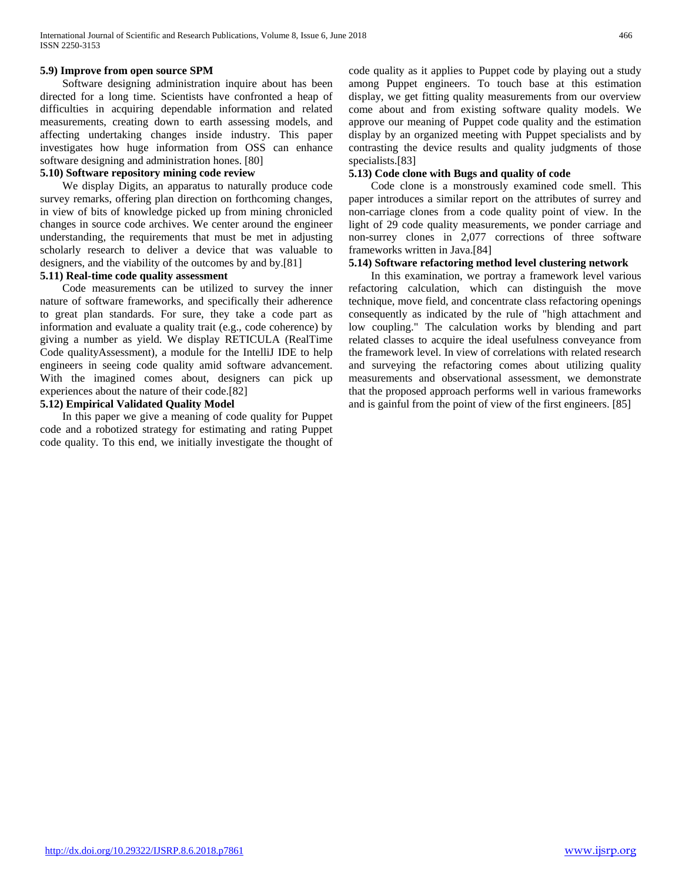## **5.9) Improve from open source SPM**

 Software designing administration inquire about has been directed for a long time. Scientists have confronted a heap of difficulties in acquiring dependable information and related measurements, creating down to earth assessing models, and affecting undertaking changes inside industry. This paper investigates how huge information from OSS can enhance software designing and administration hones. [80]

#### **5.10) Software repository mining code review**

 We display Digits, an apparatus to naturally produce code survey remarks, offering plan direction on forthcoming changes, in view of bits of knowledge picked up from mining chronicled changes in source code archives. We center around the engineer understanding, the requirements that must be met in adjusting scholarly research to deliver a device that was valuable to designers, and the viability of the outcomes by and by.[81]

#### **5.11) Real-time code quality assessment**

 Code measurements can be utilized to survey the inner nature of software frameworks, and specifically their adherence to great plan standards. For sure, they take a code part as information and evaluate a quality trait (e.g., code coherence) by giving a number as yield. We display RETICULA (RealTime Code qualityAssessment), a module for the IntelliJ IDE to help engineers in seeing code quality amid software advancement. With the imagined comes about, designers can pick up experiences about the nature of their code.[82]

#### **5.12) Empirical Validated Quality Model**

 In this paper we give a meaning of code quality for Puppet code and a robotized strategy for estimating and rating Puppet code quality. To this end, we initially investigate the thought of code quality as it applies to Puppet code by playing out a study among Puppet engineers. To touch base at this estimation display, we get fitting quality measurements from our overview come about and from existing software quality models. We approve our meaning of Puppet code quality and the estimation display by an organized meeting with Puppet specialists and by contrasting the device results and quality judgments of those specialists.[83]

#### **5.13) Code clone with Bugs and quality of code**

 Code clone is a monstrously examined code smell. This paper introduces a similar report on the attributes of surrey and non-carriage clones from a code quality point of view. In the light of 29 code quality measurements, we ponder carriage and non-surrey clones in 2,077 corrections of three software frameworks written in Java.[84]

#### **5.14) Software refactoring method level clustering network**

 In this examination, we portray a framework level various refactoring calculation, which can distinguish the move technique, move field, and concentrate class refactoring openings consequently as indicated by the rule of "high attachment and low coupling." The calculation works by blending and part related classes to acquire the ideal usefulness conveyance from the framework level. In view of correlations with related research and surveying the refactoring comes about utilizing quality measurements and observational assessment, we demonstrate that the proposed approach performs well in various frameworks and is gainful from the point of view of the first engineers. [85]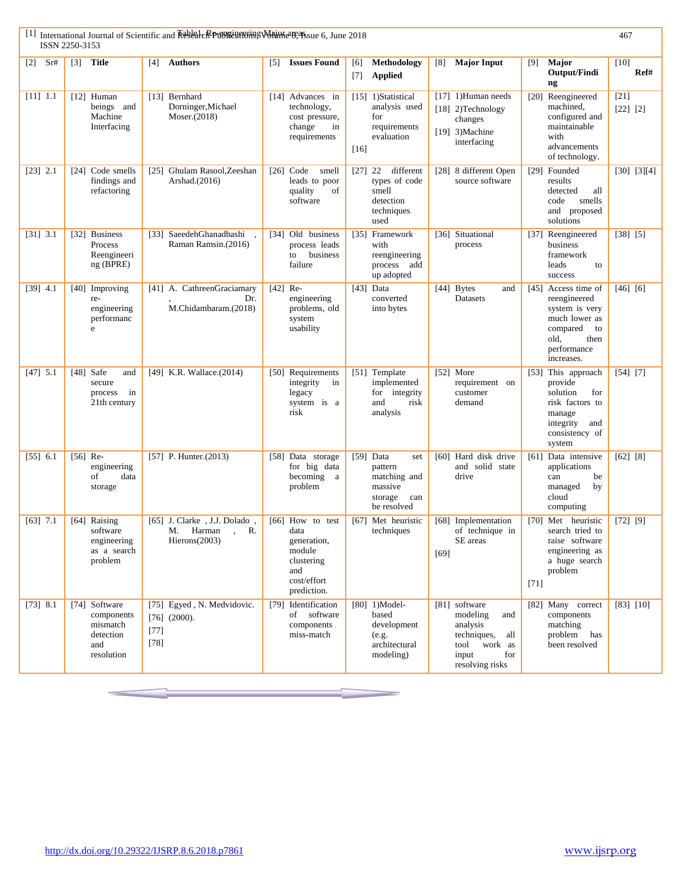|            | ISSN 2250-3153                                                            | [1] International Journal of Scientific and RebeareRPuBEERFORDER MAIORER Tssue 6, June 2018 |                                                                                                      |                                                                                                 |                                                                                                                                                                                                      | 467                |
|------------|---------------------------------------------------------------------------|---------------------------------------------------------------------------------------------|------------------------------------------------------------------------------------------------------|-------------------------------------------------------------------------------------------------|------------------------------------------------------------------------------------------------------------------------------------------------------------------------------------------------------|--------------------|
| Sr#<br>[2] | <b>Title</b><br>$\lceil 3 \rceil$                                         | <b>Authors</b><br>[4]                                                                       | <b>Issues Found</b><br>$\lceil 5 \rceil$                                                             | Methodology<br>[8]<br>[6]<br><b>Applied</b><br>$[7]$                                            | <b>Major Input</b><br>[9]<br>Major<br>Output/Findi<br>ng                                                                                                                                             | [10]<br>Ref#       |
| $[11]$ 1.1 | $[12]$ Human<br>beings and<br>Machine<br>Interfacing                      | [13] Bernhard<br>Dorninger, Michael<br>Moser. $(2018)$                                      | [14] Advances in<br>technology,<br>cost pressure,<br>in<br>change<br>requirements                    | [15] 1)Statistical<br>analysis used<br>for<br>requirements<br>evaluation<br>$[16]$              | $[17]$ 1) Human needs<br>[20] Reengineered<br>machined,<br>[18] 2)Technology<br>configured and<br>changes<br>maintainable<br>[19] 3)Machine<br>with<br>interfacing<br>advancements<br>of technology. | $[21]$<br>[22] [2] |
| $[23]$ 2.1 | [24] Code smells<br>findings and<br>refactoring                           | Ghulam Rasool, Zeeshan<br>$\lceil 25 \rceil$<br>Arshad.(2016)                               | $[26]$ Code<br>smell<br>leads to poor<br>quality<br>of<br>software                                   | different<br>22<br>[27]<br>[28]<br>types of code<br>smell<br>detection<br>techniques<br>used    | 8 different Open<br>[29] Founded<br>source software<br>results<br>all<br>detected<br>smells<br>code<br>and proposed<br>solutions                                                                     | [30] [3][4]        |
| $[31]$ 3.1 | [32] Business<br>Process<br>Reengineeri<br>ng (BPRE)                      | [33] SaeedehGhanadbashi,<br>Raman Ramsin.(2016)                                             | [34] Old business<br>process leads<br>business<br>to<br>failure                                      | [35] Framework<br>with<br>reengineering<br>process add<br>up adopted                            | [36] Situational<br>[37] Reengineered<br>business<br>process<br>framework<br>leads<br>to<br>success                                                                                                  | [38] [5]           |
| $[39]$ 4.1 | [40]<br>Improving<br>re-<br>engineering<br>performanc<br>e                | [41] A. CathreenGraciamary<br>Dr.<br>M.Chidambaram.(2018)                                   | $[42]$ Re-<br>engineering<br>problems, old<br>system<br>usability                                    | $[43]$ Data<br>$[44]$ Bytes<br>converted<br>into bytes                                          | [45] Access time of<br>and<br>Datasets<br>reengineered<br>system is very<br>much lower as<br>compared<br>to<br>old,<br>then<br>performance<br>increases.                                             | [46] [6]           |
| $[47]$ 5.1 | Safe<br>[48]<br>and<br>secure<br>in<br>process<br>21th century            | [49] K.R. Wallace.(2014)                                                                    | Requirements<br>[50]<br>integrity<br>in<br>legacy<br>system is a<br>risk                             | [51] Template<br>[52]<br>implemented<br>for integrity<br>and<br>risk<br>analysis                | More<br>[53] This approach<br>provide<br>requirement on<br>solution<br>for<br>customer<br>demand<br>risk factors to<br>manage<br>integrity<br>and<br>consistency of<br>system                        | [54] [7]           |
| $[55]$ 6.1 | $[56]$ Re-<br>engineering<br>of<br>data<br>storage                        | [57] P. Hunter. $(2013)$                                                                    | [58] Data storage<br>for big data<br>becoming<br>a<br>problem                                        | [59] Data<br>[60]<br>set<br>pattern<br>matching and<br>massive<br>storage<br>can<br>be resolved | Hard disk drive<br>[61] Data intensive<br>and solid state<br>applications<br>drive<br>be<br>can<br>managed<br>by<br>cloud<br>computing                                                               | [62] [8]           |
| $[63]$ 7.1 | [64] Raising<br>software<br>engineering<br>as a search<br>problem         | [65] J. Clarke , J.J. Dolado,<br>M. Harman<br>R.<br>$\overline{1}$<br>Hierons(2003)         | [66] How to test<br>data<br>generation,<br>module<br>clustering<br>and<br>cost/effort<br>prediction. | [67] Met heuristic<br>techniques<br>$[69]$                                                      | [68] Implementation<br>[70] Met heuristic<br>of technique in<br>search tried to<br>SE areas<br>raise software<br>engineering as<br>a huge search<br>problem<br>$[71]$                                | [72] [9]           |
| [73] 8.1   | [74] Software<br>components<br>mismatch<br>detection<br>and<br>resolution | [75] Egyed, N. Medvidovic.<br>$[76]$ (2000).<br>$[77]$<br>$[78]$                            | [79] Identification<br>of software<br>components<br>miss-match                                       | $[80]$ 1)Model-<br>based<br>development<br>(e.g.<br>architectural<br>modeling)                  | [81] software<br>[82] Many correct<br>modeling<br>components<br>and<br>analysis<br>matching<br>problem has<br>techniques,<br>all<br>been resolved<br>tool work as<br>for<br>input<br>resolving risks | [83] [10]          |

*<u>Property</u>*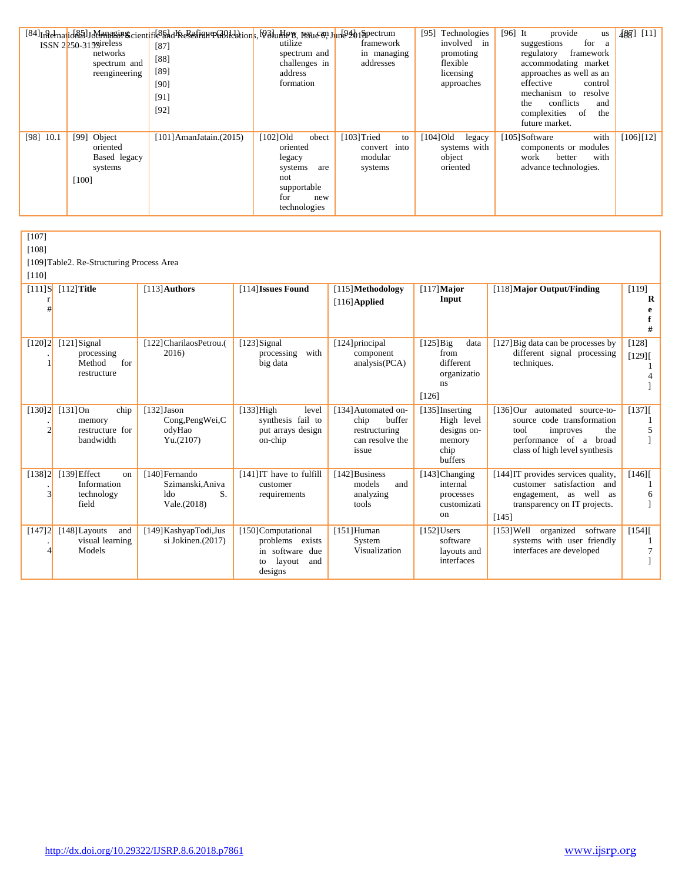| [84]Internationalion in Managin Scient fils and Kesedian publication 5, [93]under , Insue 69, June 2018 pectrum<br>$ISSN 2250-313$ yeireless<br>networks<br>spectrum and<br>reengineering | $[87]$<br>$[88]$<br>$[89]$<br>[90]<br>[91]<br>$[92]$ | utilize<br>spectrum and<br>challenges in<br>address<br>formation                                                 | framework<br>in managing<br>addresses                  | [95] Technologies<br>involved in<br>promoting<br>flexible<br>licensing<br>approaches | $[96]$ It<br>provide<br>us<br>for<br>suggestions<br>a<br>framework<br>regulatory<br>accommodating market<br>approaches as well as an<br>effective<br>control<br>mechanism to resolve<br>conflicts<br>the<br>and<br>complexities<br>the<br>- of<br>future market. | 408 [11]  |
|-------------------------------------------------------------------------------------------------------------------------------------------------------------------------------------------|------------------------------------------------------|------------------------------------------------------------------------------------------------------------------|--------------------------------------------------------|--------------------------------------------------------------------------------------|------------------------------------------------------------------------------------------------------------------------------------------------------------------------------------------------------------------------------------------------------------------|-----------|
| $[98]$ 10.1<br>[99] Object<br>oriented<br>Based legacy<br>systems<br>$[100]$                                                                                                              | $[101]$ AmanJatain. $(2015)$                         | $[102]$ Old<br>obect<br>oriented<br>legacy<br>systems<br>are<br>not<br>supportable<br>for<br>new<br>technologies | [103]Tried<br>to<br>convert into<br>modular<br>systems | $[104]$ Old<br>legacy<br>systems with<br>object<br>oriented                          | with<br>[105] Software<br>components or modules<br>work<br>with<br>better<br>advance technologies.                                                                                                                                                               | [106][12] |

[107] [108]

[109]Table2. Re-Structuring Process Area

| $[110]$   |                                                              |                                                                   |                                                                                                |                                                                                    |                                                                           |                                                                                                                                                            |                  |
|-----------|--------------------------------------------------------------|-------------------------------------------------------------------|------------------------------------------------------------------------------------------------|------------------------------------------------------------------------------------|---------------------------------------------------------------------------|------------------------------------------------------------------------------------------------------------------------------------------------------------|------------------|
| $[111]$ S | $[112]$ Title                                                | $[113]$ Authors                                                   | [114] Issues Found                                                                             | [115] Methodology<br>$[116]$ Applied                                               | $[117]$ Major<br>Input                                                    | [118] Major Output/Finding                                                                                                                                 | [119]<br>R       |
|           |                                                              |                                                                   |                                                                                                |                                                                                    |                                                                           |                                                                                                                                                            |                  |
| $[120]2$  | $[121]$ Signal<br>processing<br>for<br>Method<br>restructure | [122] Charilaos Petrou.(<br>2016)                                 | $[123]$ Signal<br>with<br>processing<br>big data                                               | [124] principal<br>component<br>analysis $(PCA)$                                   | $[125]$ Big<br>data<br>from<br>different<br>organizatio<br>ns<br>$[126]$  | [127] Big data can be processes by<br>different signal processing<br>techniques.                                                                           | [128]<br>$[129]$ |
| $[130]2$  | $[131]$ On<br>chip<br>memory<br>restructure for<br>bandwidth | $[132]$ Jason<br>Cong, PengWei, C<br>odyHao<br>Yu.(2107)          | $[133]$ High<br>level<br>synthesis fail to<br>put arrays design<br>on-chip                     | [134] Automated on-<br>buffer<br>chip<br>restructuring<br>can resolve the<br>issue | [135] Inserting<br>High level<br>designs on-<br>memory<br>chip<br>buffers | $[136]$ Our<br>automated source-to-<br>source code transformation<br>improves<br>the<br>tool<br>performance of a<br>broad<br>class of high level synthesis | $[137]$          |
| $[138]2$  | $[139]$ Effect<br>on<br>Information<br>technology<br>field   | [140] Fernando<br>Szimanski, Aniva<br>S.<br>ldo<br>Vale. $(2018)$ | [141] IT have to fulfill<br>customer<br>requirements                                           | [142] Business<br>models<br>and<br>analyzing<br>tools                              | [143] Changing<br>internal<br>processes<br>customizati<br>on              | [144] IT provides services quality,<br>customer satisfaction and<br>engagement, as well<br>as<br>transparency on IT projects.<br>[145]                     | $[146]$<br>6     |
| [147]2    | [148] Layouts<br>and<br>visual learning<br>Models            | [149] KashyapTodi, Jus<br>si Jokinen. $(2017)$                    | [150] Computational<br>problems<br>exists<br>in software due<br>and<br>layout<br>to<br>designs | $[151]$ Human<br>System<br>Visualization                                           | $[152]$ Users<br>software<br>layouts and<br>interfaces                    | $[153]$ Well<br>organized<br>software<br>systems with user friendly<br>interfaces are developed                                                            | $[154]$          |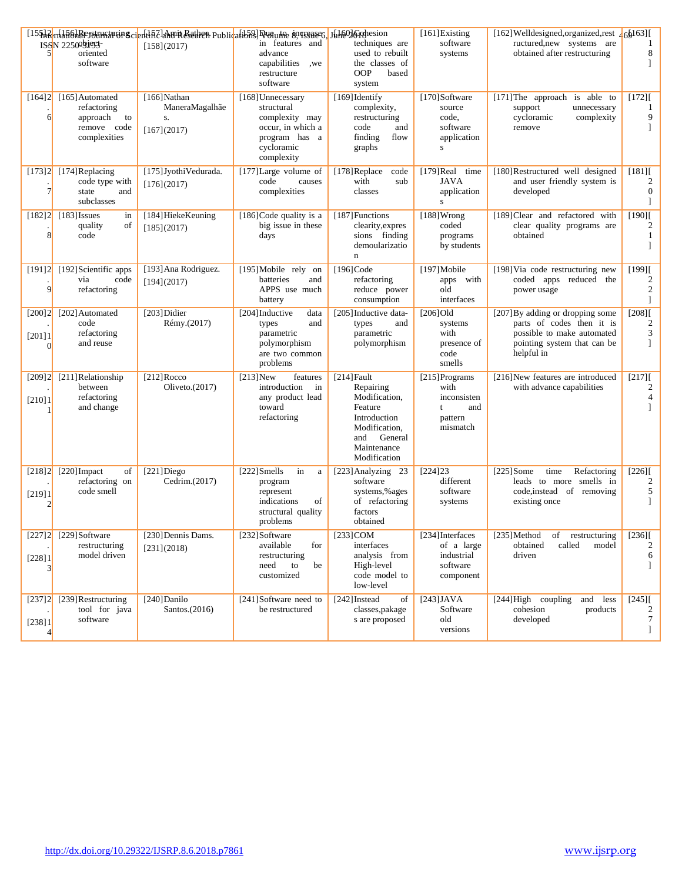|                      | ISSN 2250991955-<br>oriented                                                                         | [155]]RerhafiblBP38tt11fAPtBrsichHffZlahBPR&&then Publicatib58l Dvguthe \$PTS\$8866.JblH@J6fghesion<br>[158](2017) | in features and<br>advance                                                                                          | techniques are<br>used to rebuilt                                                                                                        | [161] Existing<br>software<br>systems                                     | [162] Welldesigned, organized, rest $\frac{1}{4}$ 6[163] [<br>ructured, new systems are<br>obtained after restructuring                  | 1<br>8                                        |
|----------------------|------------------------------------------------------------------------------------------------------|--------------------------------------------------------------------------------------------------------------------|---------------------------------------------------------------------------------------------------------------------|------------------------------------------------------------------------------------------------------------------------------------------|---------------------------------------------------------------------------|------------------------------------------------------------------------------------------------------------------------------------------|-----------------------------------------------|
|                      | software                                                                                             |                                                                                                                    | capabilities<br>,we<br>restructure<br>software                                                                      | the classes of<br>OOP<br>based<br>system                                                                                                 |                                                                           |                                                                                                                                          |                                               |
| 6                    | $[164]$ <sup>2</sup> [165] Automated<br>refactoring<br>approach<br>to<br>remove code<br>complexities | $[166]$ Nathan<br>ManeraMagalhãe<br>S.<br>$[167]$ $(2017)$                                                         | [168] Unnecessary<br>structural<br>complexity may<br>occur, in which a<br>program has a<br>cycloramic<br>complexity | [169] Identify<br>complexity,<br>restructuring<br>code<br>and<br>finding<br>flow<br>graphs                                               | [170] Software<br>source<br>code,<br>software<br>application<br>${\bf S}$ | [171] The approach is able to<br>unnecessary<br>support<br>cycloramic<br>complexity<br>remove                                            | $[172]$<br>1<br>9<br>1                        |
| 7                    | $[173]2$ [174] Replacing<br>code type with<br>state<br>and<br>subclasses                             | [175] Jyothi Vedurada.<br>[176](2017)                                                                              | [177] Large volume of<br>code<br>causes<br>complexities                                                             | [178] Replace<br>code<br>with<br>sub<br>classes                                                                                          | [179]Real time<br><b>JAVA</b><br>application<br>$\bf S$                   | [180] Restructured well designed<br>and user friendly system is<br>developed                                                             | $[181]$<br>2<br>0<br>1                        |
| 8                    | $[182]2$ [183] Issues<br>in<br>quality<br>of<br>code                                                 | [184] HiekeKeuning<br>[185](2017)                                                                                  | [186] Code quality is a<br>big issue in these<br>days                                                               | [187] Functions<br>clearity, expres<br>sions finding<br>demoularizatio<br>$\mathbf n$                                                    | $[188]$ Wrong<br>coded<br>programs<br>by students                         | [189] Clear and refactored with<br>clear quality programs are<br>obtained                                                                | $[190]$<br>2<br>$\mathbf{1}$                  |
| 9                    | $[191]2$ [192] Scientific apps<br>via<br>code<br>refactoring                                         | [193] Ana Rodriguez.<br>[194](2017)                                                                                | [195] Mobile rely on<br>batteries<br>and<br>APPS use much<br>battery                                                | [196] Code<br>refactoring<br>reduce power<br>consumption                                                                                 | [197] Mobile<br>apps with<br>old<br>interfaces                            | [198] Via code restructuring new<br>coded apps reduced the<br>power usage                                                                | $[199]$ [<br>2<br>$\sqrt{2}$<br>1             |
| $[201]1$<br>$\Omega$ | $[200]2$ $[202]$ Automated<br>code<br>refactoring<br>and reuse                                       | $[203]$ Didier<br>Rémy.(2017)                                                                                      | [204] Inductive<br>data<br>types<br>and<br>parametric<br>polymorphism<br>are two common<br>problems                 | [205] Inductive data-<br>types<br>and<br>parametric<br>polymorphism                                                                      | $[206]$ Old<br>systems<br>with<br>presence of<br>code<br>smells           | [207] By adding or dropping some<br>parts of codes then it is<br>possible to make automated<br>pointing system that can be<br>helpful in | $[208]$<br>2<br>3<br>1                        |
| $[209]2$<br>[210]1   | [211] Relationship<br>between<br>refactoring<br>and change                                           | $[212]$ Rocco<br>Oliveto. $(2017)$                                                                                 | $[213]$ New<br>features<br>introduction<br>in<br>any product lead<br>toward<br>refactoring                          | $[214]$ Fault<br>Repairing<br>Modification,<br>Feature<br>Introduction<br>Modification,<br>General<br>and<br>Maintenance<br>Modification | [215] Programs<br>with<br>inconsisten<br>and<br>t<br>pattern<br>mismatch  | [216] New features are introduced<br>with advance capabilities                                                                           | $[217]$<br>2<br>4                             |
| $[218]2$<br>[219]1   | $[220]$ Impact<br>of<br>refactoring on<br>code smell                                                 | $[221] \text{Diego}$<br>Cedrim.(2017)                                                                              | $[222]$ Smells<br>in<br>$\rm{a}$<br>program<br>represent<br>indications<br>οf<br>structural quality<br>problems     | [223] Analyzing 23<br>software<br>systems,%ages<br>of refactoring<br>factors<br>obtained                                                 | [224]23<br>different<br>software<br>systems                               | $[225]$ Some<br>Refactoring<br>time<br>leads to more smells in<br>code, instead of removing<br>existing once                             | $[226]$ [<br>$\sqrt{2}$<br>$\mathfrak s$<br>1 |
| $[227]2$<br>[228]1   | [229]Software<br>restructuring<br>model driven                                                       | [230] Dennis Dams.<br>[231] (2018)                                                                                 | [232] Software<br>available<br>for<br>restructuring<br>need<br>to<br>be<br>customized                               | $[233]$ COM<br>interfaces<br>analysis from<br>High-level<br>code model to<br>low-level                                                   | [234] Interfaces<br>of a large<br>industrial<br>software<br>component     | $[235]$ Method<br>of restructuring<br>obtained<br>called<br>model<br>driven                                                              | $[236]$<br>$\overline{2}$<br>6<br>1           |
| $[237]2$<br>[238]1   | [239] Restructuring<br>tool for java<br>software                                                     | [240]Danilo<br>Santos. $(2016)$                                                                                    | [241]Software need to<br>be restructured                                                                            | [242] Instead<br>of<br>classes, pakage<br>s are proposed                                                                                 | [243] JAVA<br>Software<br>old<br>versions                                 | [244] High coupling<br>and<br>less<br>cohesion<br>products<br>developed                                                                  | $[245]$<br>2<br>7<br>1                        |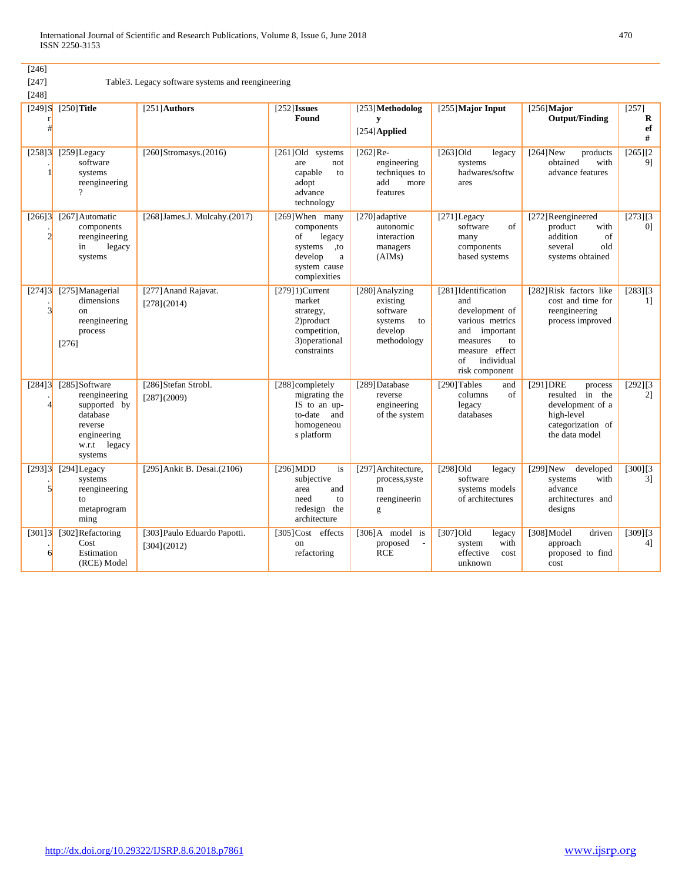[246]

# [247] Table3. Legacy software systems and reengineering

| [248]                    |                                                                                                                 |                                             |                                                                                                                         |                                                                                    |                                                                                                                                                             |                                                                                                                 |                                           |
|--------------------------|-----------------------------------------------------------------------------------------------------------------|---------------------------------------------|-------------------------------------------------------------------------------------------------------------------------|------------------------------------------------------------------------------------|-------------------------------------------------------------------------------------------------------------------------------------------------------------|-----------------------------------------------------------------------------------------------------------------|-------------------------------------------|
| $[249]$ S<br>#           | $[250]$ Title                                                                                                   | [251] Authors                               | $[252]$ Issues<br>Found                                                                                                 | [253] Methodolog<br>y<br>[254] Applied                                             | [255] Major Input                                                                                                                                           | $[256]$ Major<br><b>Output/Finding</b>                                                                          | [257]<br>R<br>ef<br>$\#$                  |
| [258]3                   | [259]Legacy<br>software<br>systems<br>reengineering<br>9                                                        | $[260]$ Stromasys. $(2016)$                 | [261]Old systems<br>are<br>not<br>capable<br>to<br>adopt<br>advance<br>technology                                       | $[262]$ Re-<br>engineering<br>techniques to<br>add<br>more<br>features             | $[263]$ Old<br>legacy<br>systems<br>hadwares/softw<br>ares                                                                                                  | $[264]$ New<br>products<br>obtained<br>with<br>advance features                                                 | [265][2]<br>9]                            |
| [266]3<br>$\mathfrak{D}$ | [267] Automatic<br>components<br>reengineering<br>legacy<br>in<br>systems                                       | $[268]$ James.J. Mulcahy. $(2017)$          | [269] When many<br>components<br>of<br>legacy<br>systems<br>, to<br>develop<br>$\rm{a}$<br>system cause<br>complexities | [270] adaptive<br>autonomic<br>interaction<br>managers<br>(AIMs)                   | [271] Legacy<br>software<br>of<br>many<br>components<br>based systems                                                                                       | [272] Reengineered<br>product<br>with<br>addition<br>of<br>several<br>old<br>systems obtained                   | [273][3<br>0 <sup>1</sup>                 |
| [274]3<br>$\overline{3}$ | [275] Managerial<br>dimensions<br><sub>on</sub><br>reengineering<br>process<br>[276]                            | [277] Anand Rajavat.<br>[278] (2014)        | $[279]1)$ Current<br>market<br>strategy,<br>2) product<br>competition,<br>3) operational<br>constraints                 | [280] Analyzing<br>existing<br>software<br>systems<br>to<br>develop<br>methodology | [281] Identification<br>and<br>development of<br>various metrics<br>and important<br>measures<br>to<br>measure effect<br>individual<br>of<br>risk component | [282]Risk factors like<br>cost and time for<br>reengineering<br>process improved                                | [283][3]<br>1]                            |
| [284]3                   | [285]Software<br>reengineering<br>supported by<br>database<br>reverse<br>engineering<br>w.r.t legacy<br>systems | [286] Stefan Strobl.<br>[287] (2009)        | [288] completely<br>migrating the<br>IS to an up-<br>to-date<br>and<br>homogeneou<br>s platform                         | [289]Database<br>reverse<br>engineering<br>of the system                           | [290] Tables<br>and<br>columns<br>of<br>legacy<br>databases                                                                                                 | [291]DRE<br>process<br>resulted in the<br>development of a<br>high-level<br>categorization of<br>the data model | $\overline{[292]}$ $\overline{[3]}$<br>2] |
| [293]3<br>$\overline{5}$ | $[294]$ Legacy<br>systems<br>reengineering<br>to<br>metaprogram<br>ming                                         | [295] Ankit B. Desai.(2106)                 | [296] MDD<br>is<br>subjective<br>area<br>and<br>need<br>to<br>the<br>redesign<br>architecture                           | [297] Architecture,<br>process, syste<br>m<br>reengineerin<br>g                    | [298]Old<br>legacy<br>software<br>systems models<br>of architectures                                                                                        | $[299]$ New<br>developed<br>with<br>systems<br>advance<br>architectures and<br>designs                          | [300][3]<br>31                            |
| [301]3<br>6              | [302] Refactoring<br>Cost<br>Estimation<br>(RCE) Model                                                          | [303] Paulo Eduardo Papotti.<br>[304](2012) | [305]Cost effects<br>on<br>refactoring                                                                                  | $[306]$ A model is<br>proposed<br>÷,<br><b>RCE</b>                                 | $[307]$ Old<br>legacy<br>with<br>system<br>effective<br>cost<br>unknown                                                                                     | [308] Model<br>driven<br>approach<br>proposed to find<br>cost                                                   | [309][3]<br>41                            |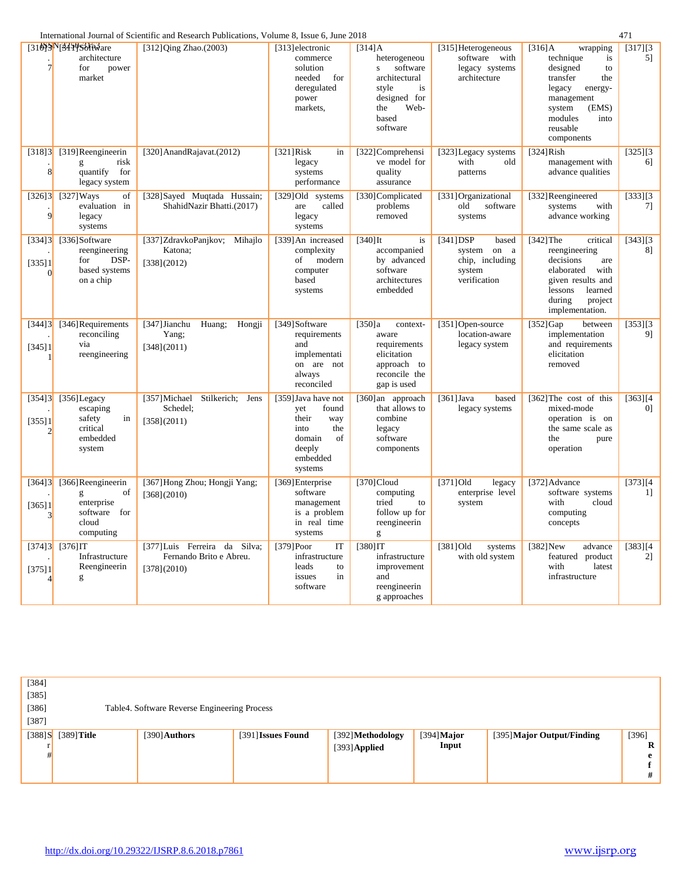|                  |                                                                                   | International Journal of Scientific and Research Publications, Volume 8, Issue 6, June 2018 |                                                                                                                     |                                                                                                                              |                                                                                     |                                                                                                                                                                                  | 471            |
|------------------|-----------------------------------------------------------------------------------|---------------------------------------------------------------------------------------------|---------------------------------------------------------------------------------------------------------------------|------------------------------------------------------------------------------------------------------------------------------|-------------------------------------------------------------------------------------|----------------------------------------------------------------------------------------------------------------------------------------------------------------------------------|----------------|
| 7                | [31095 N 345 9 Solt Mare]<br>architecture<br>for<br>power<br>market               | [312] Qing Zhao.(2003)                                                                      | $[313]$ electronic<br>commerce<br>solution<br>needed<br>for<br>deregulated<br>power<br>markets.                     | $[314]$<br>heterogeneou<br>software<br>S<br>architectural<br>style<br>is<br>designed for<br>Web-<br>the<br>based<br>software | [315] Heterogeneous<br>software with<br>legacy systems<br>architecture              | $[316]$ A<br>wrapping<br>technique<br>is<br>designed<br>to<br>transfer<br>the<br>legacy<br>energy-<br>management<br>system<br>(EMS)<br>modules<br>into<br>reusable<br>components | [317][3<br>5]  |
| [318]3<br>8      | [319] Reengineerin<br>risk<br>g<br>quantify<br>for<br>legacy system               | [320] Anand Rajavat. (2012)                                                                 | [321] Risk<br>in<br>legacy<br>systems<br>performance                                                                | [322] Comprehensi<br>ve model for<br>quality<br>assurance                                                                    | [323] Legacy systems<br>with<br>old<br>patterns                                     | $[324]$ Rish<br>management with<br>advance qualities                                                                                                                             | [325][3]<br>6] |
| 9                | [326] $3$ [327] Ways<br>of<br>evaluation in<br>legacy<br>systems                  | [328] Sayed Muqtada Hussain;<br>ShahidNazir Bhatti.(2017)                                   | [329]Old systems<br>called<br>are<br>legacy<br>systems                                                              | [330] Complicated<br>problems<br>removed                                                                                     | [331] Organizational<br>old<br>software<br>systems                                  | [332]Reengineered<br>systems<br>with<br>advance working                                                                                                                          | [333][3]<br>7] |
| [334]3<br>[335]1 | [336]Software<br>reengineering<br>DSP-<br>for<br>based systems<br>on a chip       | [337] ZdravkoPanjkov; Mihajlo<br>Katona;<br>[338](2012)                                     | [339] An increased<br>complexity<br>of<br>modern<br>computer<br>based<br>systems                                    | $[340]$ It<br>is<br>accompanied<br>by advanced<br>software<br>architectures<br>embedded                                      | $[341]$ DSP<br>based<br>system on<br>a<br>chip, including<br>system<br>verification | $[342]$ The<br>critical<br>reengineering<br>decisions<br>are<br>elaborated<br>with<br>given results and<br>lessons<br>learned<br>during<br>project<br>implementation.            | [343][3<br>8]  |
| [344]3<br>[345]1 | [346] Requirements<br>reconciling<br>via<br>reengineering                         | [347] Jianchu<br>Huang;<br>Hongji<br>Yang;<br>[348] (2011)                                  | [349]Software<br>requirements<br>and<br>implementati<br>on are not<br>always<br>reconciled                          | [350]a<br>context-<br>aware<br>requirements<br>elicitation<br>approach to<br>reconcile the<br>gap is used                    | [351] Open-source<br>location-aware<br>legacy system                                | [352]Gap<br>between<br>implementation<br>and requirements<br>elicitation<br>removed                                                                                              | [353][3]<br>9] |
| [354]3<br>[355]1 | $[356]$ Legacy<br>escaping<br>safety<br>in<br>critical<br>embedded<br>system      | [357] Michael<br>Stilkerich; Jens<br>Schedel;<br>[358](2011)                                | [359] Java have not<br>yet<br>found<br>their<br>way<br>into<br>the<br>domain<br>of<br>deeply<br>embedded<br>systems | [360] an approach<br>that allows to<br>combine<br>legacy<br>software<br>components                                           | $[361]$ Java<br>based<br>legacy systems                                             | [362] The cost of this<br>mixed-mode<br>operation is on<br>the same scale as<br>the<br>pure<br>operation                                                                         | [363][4]<br>0] |
| [364]3<br>[365]1 | [366] Reengineerin<br>of<br>g<br>enterprise<br>software for<br>cloud<br>computing | [367] Hong Zhou; Hongji Yang;<br>[368](2010)                                                | [369] Enterprise<br>software<br>management<br>is a problem<br>in real time<br>systems                               | [370]Cloud<br>computing<br>tried<br>to<br>follow up for<br>reengineerin<br>g                                                 | [371] Old<br>legacy<br>enterprise level<br>system                                   | [372] Advance<br>software systems<br>with<br>cloud<br>computing<br>concepts                                                                                                      | [373][4]<br>11 |
| [375]1           | $[374]3$ $[376]1$ T<br>Infrastructure<br>Reengineerin<br>g                        | [377] Luis Ferreira da Silva;<br>Fernando Brito e Abreu.<br>[378](2010)                     | [379]Poor<br>IT<br>infrastructure<br>leads<br>to<br>issues<br>in<br>software                                        | [380] IT<br>infrastructure<br>improvement<br>and<br>reengineerin<br>g approaches                                             | [381] Old<br>systems<br>with old system                                             | [382] New<br>advance<br>featured product<br>with<br>latest<br>infrastructure                                                                                                     | [383][4]<br>2] |

| [384]                   |                                               |                    |                  |               |                            |         |
|-------------------------|-----------------------------------------------|--------------------|------------------|---------------|----------------------------|---------|
| [385]                   |                                               |                    |                  |               |                            |         |
| $[386]$                 | Table 4. Software Reverse Engineering Process |                    |                  |               |                            |         |
| [387]                   |                                               |                    |                  |               |                            |         |
| $[388]$ S $[389]$ Title | $[390]$ Authors                               | [391] Issues Found | [392]Methodology | $[394]$ Major | [395] Major Output/Finding | $[396]$ |
|                         |                                               |                    | $[393]$ Applied  | Input         |                            | R       |
| #                       |                                               |                    |                  |               |                            | e       |
|                         |                                               |                    |                  |               |                            | ₽       |
|                         |                                               |                    |                  |               |                            | #       |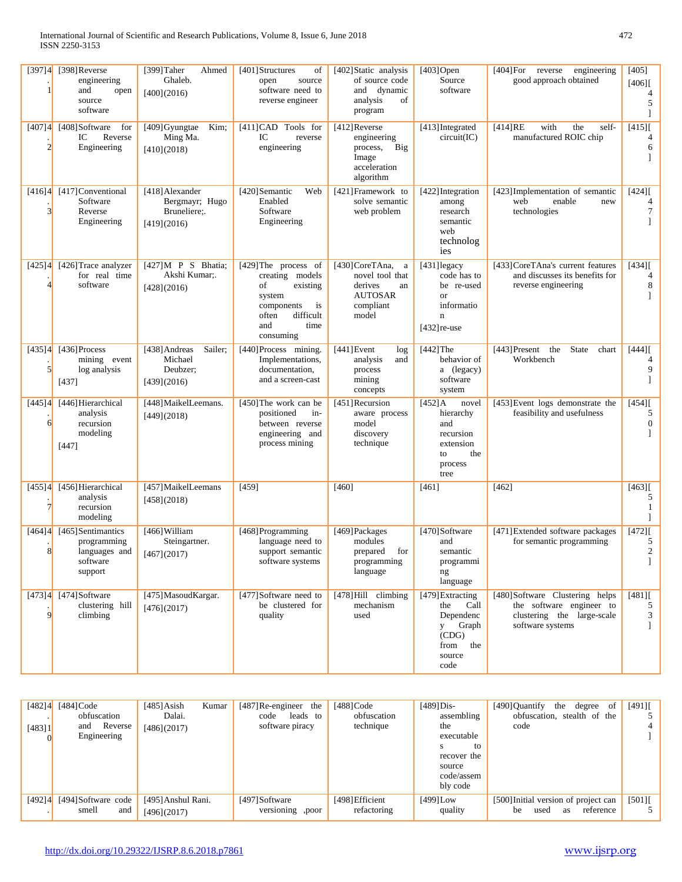| [397]4      | [398] Reverse<br>engineering<br>and<br>open<br>source<br>software         | [399] Taher<br>Ahmed<br>Ghaleb.<br>[400](2016)                    | [401] Structures<br>of<br>source<br>open<br>software need to<br>reverse engineer                                                          | [402] Static analysis<br>of source code<br>dynamic<br>and<br>analysis<br>of<br>program           | $[403]$ Open<br>Source<br>software                                                                    | [404] For reverse<br>engineering<br>good approach obtained                                                    | [405]<br>[406]<br>4<br>5<br>1                    |
|-------------|---------------------------------------------------------------------------|-------------------------------------------------------------------|-------------------------------------------------------------------------------------------------------------------------------------------|--------------------------------------------------------------------------------------------------|-------------------------------------------------------------------------------------------------------|---------------------------------------------------------------------------------------------------------------|--------------------------------------------------|
| [407]4<br>2 | [408]Software<br>for<br>IC<br>Reverse<br>Engineering                      | [409] Gyungtae<br>Kim;<br>Ming Ma.<br>[410](2018)                 | [411]CAD Tools for<br>IC<br>reverse<br>engineering                                                                                        | [412] Reverse<br>engineering<br>process,<br>Big<br>Image<br>acceleration<br>algorithm            | [413] Integrated<br>circuit(IC)                                                                       | [414]RE<br>with<br>the<br>self-<br>manufactured ROIC chip                                                     | [415]<br>4<br>6                                  |
| [416]4      | [417] Conventional<br>Software<br>Reverse<br>Engineering                  | [418] Alexander<br>Bergmayr; Hugo<br>Bruneliere:.<br>[419] (2016) | [420] Semantic<br>Web<br>Enabled<br>Software<br>Engineering                                                                               | [421] Framework to<br>solve semantic<br>web problem                                              | [422] Integration<br>among<br>research<br>semantic<br>web<br>technolog<br>ies                         | [423] Implementation of semantic<br>enable<br>web<br>new<br>technologies                                      | $[424]$ [<br>4<br>7<br>1                         |
| [425]4<br>4 | [426] Trace analyzer<br>for real time<br>software                         | $[427]$ M P S Bhatia;<br>Akshi Kumar;.<br>[428] (2016)            | [429] The process of<br>creating models<br>of<br>existing<br>system<br>components<br>is<br>difficult<br>often<br>and<br>time<br>consuming | [430] CoreTAna,<br>a<br>novel tool that<br>derives<br>an<br><b>AUTOSAR</b><br>compliant<br>model | [431] legacy<br>code has to<br>be re-used<br><b>or</b><br>informatio<br>$\mathbf n$<br>$[432]$ re-use | [433] CoreTAna's current features<br>and discusses its benefits for<br>reverse engineering                    | $[434]$ [<br>4<br>8<br>1                         |
| [435]4<br>5 | [436] Process<br>mining event<br>log analysis<br>[437]                    | [438] Andreas<br>Sailer;<br>Michael<br>Deubzer;<br>[439] (2016)   | [440] Process mining.<br>Implementations,<br>documentation,<br>and a screen-cast                                                          | [441] Event<br>log<br>analysis<br>and<br>process<br>mining<br>concepts                           | $[442]$ The<br>behavior of<br>a (legacy)<br>software<br>system                                        | [443] Present the<br>State<br>chart<br>Workbench                                                              | $[444]$ [<br>4<br>9                              |
| [445]4<br>6 | [446] Hierarchical<br>analysis<br>recursion<br>modeling<br>[447]          | [448] MaikelLeemans.<br>[449](2018)                               | [450] The work can be<br>positioned<br>in-<br>between reverse<br>engineering and<br>process mining                                        | [451] Recursion<br>aware process<br>model<br>discovery<br>technique                              | $[452]$ A<br>novel<br>hierarchy<br>and<br>recursion<br>extension<br>the<br>to<br>process<br>tree      | [453] Event logs demonstrate the<br>feasibility and usefulness                                                | [454]<br>5<br>$\mathbf{0}$<br>1                  |
| [455]4<br>7 | [456] Hierarchical<br>analysis<br>recursion<br>modeling                   | [457] MaikelLeemans<br>[458] (2018)                               | [459]                                                                                                                                     | [460]                                                                                            | [461]                                                                                                 | [462]                                                                                                         | $[463]$ [<br>5<br>1                              |
| [464]4<br>8 | [465] Sentimantics<br>programming<br>languages and<br>software<br>support | [466] William<br>Steingartner.<br>[467] (2017)                    | [468] Programming<br>language need to<br>support semantic<br>software systems                                                             | [469] Packages<br>modules<br>prepared<br>for<br>programming<br>language                          | [470] Software<br>and<br>semantic<br>programmi<br>ng<br>language                                      | [471] Extended software packages<br>for semantic programming                                                  | $[472]$ [<br>5<br>$\mathfrak{2}$<br>$\mathbf{I}$ |
| 9           | $[473]4$ [474] Software<br>clustering hill<br>climbing                    | [475] Masoud Kargar.<br>[476](2017)                               | [477]Software need to<br>be clustered for<br>quality                                                                                      | [478] Hill climbing<br>mechanism<br>used                                                         | [479] Extracting<br>the<br>Call<br>Dependenc<br>y Graph<br>(CDG)<br>from<br>the<br>source<br>code     | [480] Software Clustering helps<br>the software engineer to<br>clustering the large-scale<br>software systems | $[481]$<br>5<br>$\mathbf{3}$<br>1                |

|        | $[482]4$ $[484] \text{Code}$ | $[485]$ Asish<br>Kumar | $[487]$ Re-engineer the | $[488]$ Code    | $[489]$ Dis- | [490] Ouantify<br>the<br>degree<br>-of | [491] |
|--------|------------------------------|------------------------|-------------------------|-----------------|--------------|----------------------------------------|-------|
|        | obfuscation                  | Dalai.                 | leads to<br>code        | obfuscation     | assembling   | obfuscation, stealth of the            |       |
| [483]1 | Reverse<br>and               | [486](2017)            | software piracy         | technique       | the          | code                                   |       |
|        | Engineering                  |                        |                         |                 | executable   |                                        |       |
|        |                              |                        |                         |                 | tο           |                                        |       |
|        |                              |                        |                         |                 | recover the  |                                        |       |
|        |                              |                        |                         |                 | source       |                                        |       |
|        |                              |                        |                         |                 | code/assem   |                                        |       |
|        |                              |                        |                         |                 | bly code     |                                        |       |
| [492]4 | [494] Software code          | [495] Anshul Rani.     | [497] Software          | [498] Efficient | $[499]$ Low  | [500] Initial version of project can   | [501] |
|        | smell<br>and                 | [496](2017)            | versioning ,poor        | refactoring     | quality      | reference<br>used<br>as<br>he          |       |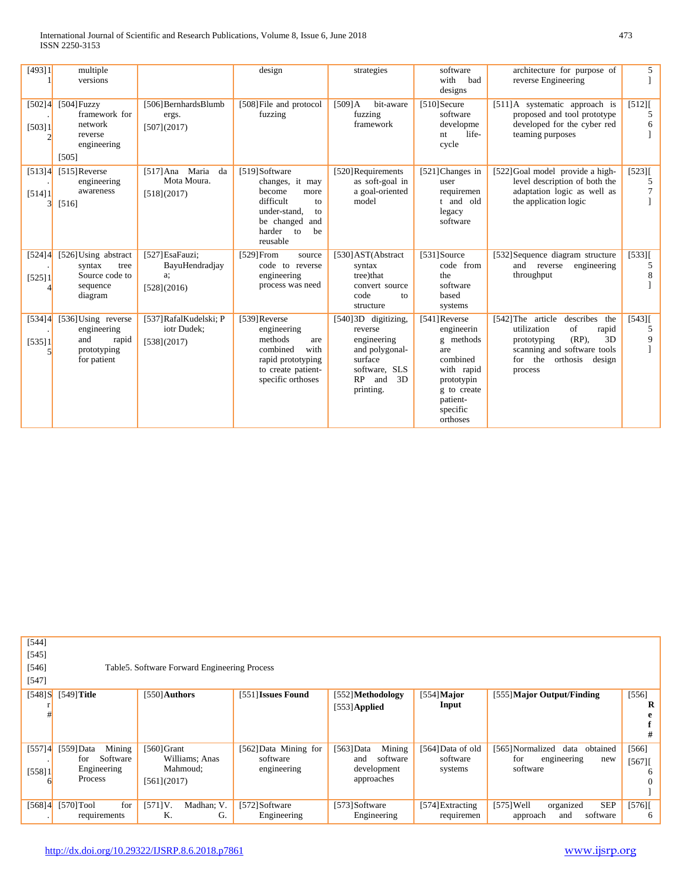| [493]1                 | multiple<br>versions                                                             |                                                        | design                                                                                                                                             | strategies                                                                                                                  | software<br>with<br>bad<br>designs                                                                                                         | architecture for purpose of<br>reverse Engineering                                                                                                                              | 5                      |
|------------------------|----------------------------------------------------------------------------------|--------------------------------------------------------|----------------------------------------------------------------------------------------------------------------------------------------------------|-----------------------------------------------------------------------------------------------------------------------------|--------------------------------------------------------------------------------------------------------------------------------------------|---------------------------------------------------------------------------------------------------------------------------------------------------------------------------------|------------------------|
| [502]4<br>[503]1       | $[504]$ Fuzzy<br>framework for<br>network<br>reverse<br>engineering<br>[505]     | [506] Bernhards Blumb<br>ergs.<br>[507] (2017)         | [508] File and protocol<br>fuzzing                                                                                                                 | $[509]$ A<br>bit-aware<br>fuzzing<br>framework                                                                              | $[510]$ Secure<br>software<br>developme<br>life-<br>nt<br>cycle                                                                            | [511] A systematic approach is<br>proposed and tool prototype<br>developed for the cyber red<br>teaming purposes                                                                | $[512]$ [<br>5<br>6    |
| [513]4<br>[514]1<br>31 | [515]Reverse<br>engineering<br>awareness<br>[516]                                | [517] Ana Maria<br>da<br>Mota Moura.<br>[518](2017)    | [519]Software<br>changes, it may<br>become<br>more<br>difficult<br>to<br>under-stand.<br>to<br>be changed<br>and<br>harder<br>to<br>be<br>reusable | [520] Requirements<br>as soft-goal in<br>a goal-oriented<br>model                                                           | [521] Changes in<br>user<br>requiremen<br>t and old<br>legacy<br>software                                                                  | [522] Goal model provide a high-<br>level description of both the<br>adaptation logic as well as<br>the application logic                                                       | $[523]$<br>5<br>$\tau$ |
| [524]4<br>[525]1       | [526] Using abstract<br>syntax<br>tree<br>Source code to<br>sequence<br>diagram  | [527] EsaFauzi;<br>BayuHendradjay<br>a:<br>[528](2016) | $[529]$ From<br>source<br>code to reverse<br>engineering<br>process was need                                                                       | [530] AST(Abstract<br>syntax<br>tree)that<br>convert source<br>code<br>to<br>structure                                      | [531] Source<br>code from<br>the<br>software<br>based<br>systems                                                                           | [532] Sequence diagram structure<br>and reverse<br>engineering<br>throughput                                                                                                    | [533]<br>5<br>$\,8\,$  |
| [534]4<br>[535]1       | [536] Using reverse<br>engineering<br>and<br>rapid<br>prototyping<br>for patient | [537] RafalKudelski; P<br>iotr Dudek;<br>[538](2017)   | [539] Reverse<br>engineering<br>methods<br>are<br>combined<br>with<br>rapid prototyping<br>to create patient-<br>specific orthoses                 | [540]3D digitizing,<br>reverse<br>engineering<br>and polygonal-<br>surface<br>software, SLS<br>RP<br>3D<br>and<br>printing. | [541] Reverse<br>engineerin<br>g methods<br>are<br>combined<br>with rapid<br>prototypin<br>g to create<br>patient-<br>specific<br>orthoses | describes<br>[542] The article<br>the<br>of<br>utilization<br>rapid<br>$(RP)$ ,<br>3D<br>prototyping<br>scanning and software tools<br>for the<br>orthosis<br>design<br>process | [543]<br>.5<br>9       |

| [544]<br>[545]<br>[546]<br>[547] | Table 5. Software Forward Engineering Process                    |                                                         |                                                 |                                                                      |                                          |                                                                               |                    |  |  |  |
|----------------------------------|------------------------------------------------------------------|---------------------------------------------------------|-------------------------------------------------|----------------------------------------------------------------------|------------------------------------------|-------------------------------------------------------------------------------|--------------------|--|--|--|
| $[548]$ S                        | $[549]$ Title                                                    | [550] Authors                                           | [551] Issues Found                              | [552] Methodology<br>$[553]$ Applied                                 | $[554]$ Major<br>Input                   | [555] Major Output/Finding                                                    | $[556]$<br>R<br>#  |  |  |  |
| [557]4<br>[558]1                 | [559]Data<br>Mining<br>Software<br>for<br>Engineering<br>Process | [560]Grant<br>Williams; Anas<br>Mahmoud:<br>[561](2017) | [562]Data Mining for<br>software<br>engineering | Mining<br>[563] Data<br>software<br>and<br>development<br>approaches | [564] Data of old<br>software<br>systems | [565] Normalized<br>obtained<br>data<br>for<br>engineering<br>new<br>software | $[566]$<br>$[567]$ |  |  |  |
| [568]4                           | $[570]$ Tool<br>for<br>requirements                              | [571]V.<br>Madhan; V.<br>G.<br>Κ.                       | [572]Software<br>Engineering                    | [573] Software<br>Engineering                                        | [574] Extracting<br>requiremen           | <b>SEP</b><br>$[575]$ Well<br>organized<br>software<br>approach<br>and        | $[576]$<br>6       |  |  |  |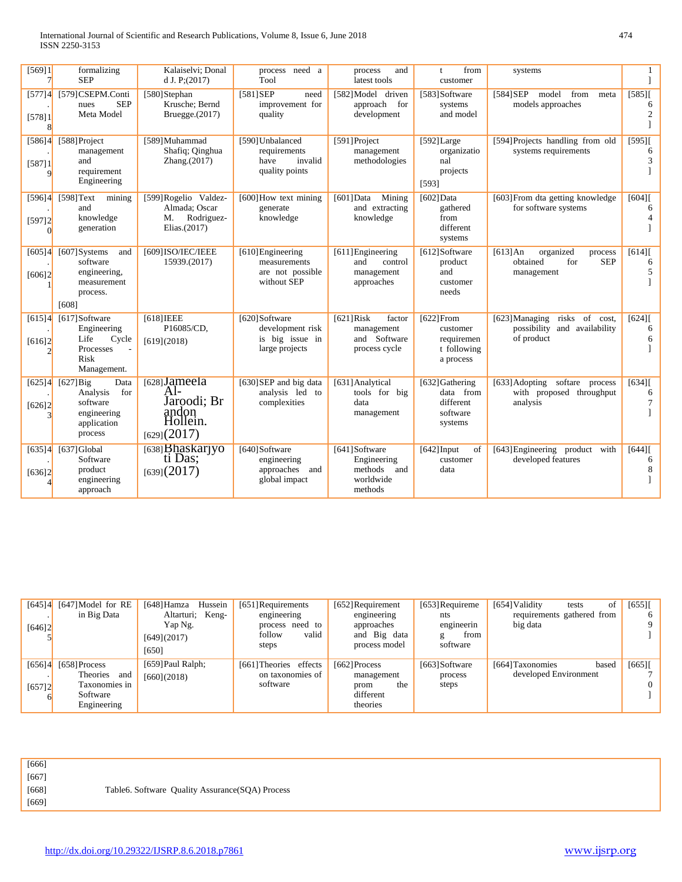| [569]1           | formalizing<br><b>SEP</b>                                                                                   | Kalaiselvi; Donal<br>d J. P; $(2017)$                                            | process need a<br>Tool                                                 | process<br>and<br>latest tools                                      | from<br>customer                                                   | systems                                                                           |                                      |
|------------------|-------------------------------------------------------------------------------------------------------------|----------------------------------------------------------------------------------|------------------------------------------------------------------------|---------------------------------------------------------------------|--------------------------------------------------------------------|-----------------------------------------------------------------------------------|--------------------------------------|
| [577]4<br>[578]1 | [579]CSEPM.Conti<br><b>SEP</b><br>nues<br>Meta Model                                                        | [580]Stephan<br>Krusche; Bernd<br>Bruegge. $(2017)$                              | <b>[581]SEP</b><br>need<br>improvement for<br>quality                  | [582] Model driven<br>approach for<br>development                   | [583] Software<br>systems<br>and model                             | [584] SEP<br>model<br>from<br>meta<br>models approaches                           | $[585]$<br>$\mathfrak{2}$            |
| [586]4<br>[587]1 | [588] Project<br>management<br>and<br>requirement<br>Engineering                                            | [589]Muhammad<br>Shafiq; Qinghua<br>Zhang.(2017)                                 | [590] Unbalanced<br>requirements<br>invalid<br>have<br>quality points  | [591] Project<br>management<br>methodologies                        | $[592]$ Large<br>organizatio<br>nal<br>projects<br>[593]           | [594] Projects handling from old<br>systems requirements                          | [595]<br>6<br>3                      |
| [596]4<br>[597]2 | [598]Text<br>mining<br>and<br>knowledge<br>generation                                                       | [599]Rogelio Valdez-<br>Almada; Oscar<br>Rodriguez-<br>М.<br>Elias.(2017)        | [600] How text mining<br>generate<br>knowledge                         | Mining<br>[601] Data<br>and extracting<br>knowledge                 | [602]Data<br>gathered<br>from<br>different<br>systems              | [603] From dta getting knowledge<br>for software systems                          | [604]<br>6<br>4                      |
| [605]4<br>[606]2 | $[607]$ Systems<br>and<br>software<br>engineering,<br>measurement<br>process.<br>[608]                      | [609]ISO/IEC/IEEE<br>15939.(2017)                                                | [610] Engineering<br>measurements<br>are not possible<br>without SEP   | [611] Engineering<br>and<br>control<br>management<br>approaches     | [612]Software<br>product<br>and<br>customer<br>needs               | $[613]$ An<br>organized<br>process<br><b>SEP</b><br>obtained<br>for<br>management | [614]<br>6<br>5<br>$\mathbf{1}$      |
| [615]4<br>[616]2 | [617]Software<br>Engineering<br>Life<br>Cycle<br>Processes<br>Risk<br>Management.                           | $[618]$ IEEE<br>P16085/CD,<br>[619] (2018)                                       | [620]Software<br>development risk<br>is big issue in<br>large projects | [621] Risk<br>factor<br>management<br>and Software<br>process cycle | $[622]$ From<br>customer<br>requiremen<br>t following<br>a process | risks of cost,<br>[623] Managing<br>and availability<br>possibility<br>of product | $[624]$<br>6<br>6                    |
| [626]2           | [625]4 <sup>[627]</sup> Big<br>Data<br>Analysis<br>for<br>software<br>engineering<br>application<br>process | $[628]$ Jameela<br>$Al-$<br>Jaroodi; Br<br>andon<br>Hollein.<br>$[629]$ $(2017)$ | [630]SEP and big data<br>analysis led to<br>complexities               | [631] Analytical<br>tools for big<br>data<br>management             | [632] Gathering<br>data from<br>different<br>software<br>systems   | [633] Adopting<br>softare<br>process<br>with proposed throughput<br>analysis      | [634]<br>6<br>$\tau$<br>$\mathbf{1}$ |
| [635]4<br>[636]2 | [637]Global<br>Software<br>product<br>engineering<br>approach                                               | [638] Bhaskarjyo<br>ti Das;<br>[639] (2017)                                      | [640]Software<br>engineering<br>approaches<br>and<br>global impact     | [641]Software<br>Engineering<br>methods and<br>worldwide<br>methods | $[642]$ Input<br>οf<br>customer<br>data                            | [643] Engineering product with<br>developed features                              | [644]<br>6<br>8                      |

|             | $[645]4$ [647] Model for RE | $[648]$ Hamza<br>Hussein | [651] Requirements     | [652] Requirement | $[653]$ Requireme | [654] Validity<br>οf<br>tests | [655] |
|-------------|-----------------------------|--------------------------|------------------------|-------------------|-------------------|-------------------------------|-------|
|             | in Big Data                 | Altarturi; Keng-         | engineering            | engineering       | nts               | requirements gathered from    | 6     |
| [646]2      |                             | Yap Ng.                  | process need to        | approaches        | engineerin        | big data                      |       |
|             |                             | [649] (2017)             | valid<br>follow        | and Big data      | from              |                               |       |
|             |                             | [650]                    | steps                  | process model     | software          |                               |       |
|             | $[656]4$ [658] Process      | $[659]$ Paul Ralph;      | [661] Theories effects | $[662]$ Process   | [663] Software    | [664] Taxonomies<br>based     | [665] |
|             | Theories and                | [660](2018)              | on taxonomies of       | management        | process           | developed Environment         |       |
| [657]2<br>6 | Taxonomies in               |                          | software               | the<br>prom       | steps             |                               |       |
|             | Software                    |                          |                        | different         |                   |                               |       |
|             | Engineering                 |                          |                        | theories          |                   |                               |       |

[666] [667] [668] Table6. Software Quality Assurance(SQA) Process [669]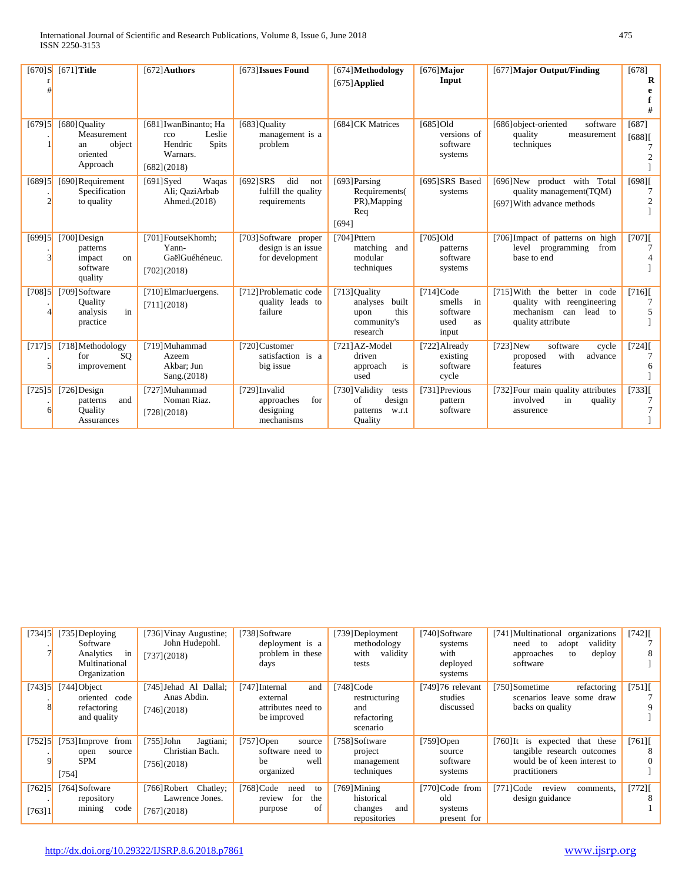| $[670]$ S                | $[671]$ Title                                                             | [672] Authors                                                                          | [673] Issues Found                                             | [674] Methodology<br>$[675]$ Applied                                          | [676] Major<br>Input                                          | [677] Major Output/Finding                                                                                      | [678]<br>R<br>e<br>#                 |
|--------------------------|---------------------------------------------------------------------------|----------------------------------------------------------------------------------------|----------------------------------------------------------------|-------------------------------------------------------------------------------|---------------------------------------------------------------|-----------------------------------------------------------------------------------------------------------------|--------------------------------------|
| [679]5                   | [680] Quality<br>Measurement<br>object<br>an<br>oriented<br>Approach      | [681] IwanBinanto; Ha<br>Leslie<br>rco<br>Spits<br>Hendric<br>Warnars.<br>[682] (2018) | [683] Quality<br>management is a<br>problem                    | [684] CK Matrices                                                             | $[685]$ Old<br>versions of<br>software<br>systems             | [686] object-oriented<br>software<br>quality<br>measurement<br>techniques                                       | [687]<br>$[688]$ [<br>$\mathfrak{2}$ |
| [689]5<br>$\overline{2}$ | [690] Requirement<br>Specification<br>to quality                          | Waqas<br>$[691] S$ yed<br>Ali; QaziArbab<br>Ahmed.(2018)                               | [692] SRS<br>did<br>not<br>fulfill the quality<br>requirements | [693] Parsing<br>Requirements(<br>PR), Mapping<br>Req<br>[694]                | [695] SRS Based<br>systems                                    | product with Total<br>[696]New<br>quality management(TQM)<br>[697] With advance methods                         | [698]<br>$\mathfrak{2}$              |
| [699]5                   | [700]Design<br>patterns<br>impact<br><sub>on</sub><br>software<br>quality | [701] FoutseKhomh;<br>Yann-<br>GaëlGuéhéneuc.<br>[702] (2018)                          | [703]Software proper<br>design is an issue<br>for development  | [704] Pttern<br>matching<br>and<br>modular<br>techniques                      | $[705]$ Old<br>patterns<br>software<br>systems                | [706] Impact of patterns on high<br>level programming from<br>base to end                                       | $[707]$ [                            |
| $[708]5$                 | [709]Software<br>Quality<br>in<br>analysis<br>practice                    | [710] ElmarJuergens.<br>[711](2018)                                                    | [712] Problematic code<br>quality leads to<br>failure          | [713] Quality<br>built<br>analyses<br>this<br>upon<br>community's<br>research | [714] Code<br>smells<br>in<br>software<br>used<br>as<br>input | [715] With<br>the better in code<br>quality with reengineering<br>mechanism can<br>lead to<br>quality attribute | $[716]$<br>5                         |
| [717]5                   | [718]Methodology<br>SQ<br>for<br>improvement                              | [719] Muhammad<br>Azeem<br>Akbar; Jun<br>Sang.(2018)                                   | [720] Customer<br>satisfaction is a<br>big issue               | [721] AZ-Model<br>driven<br>is<br>approach<br>used                            | [722] Already<br>existing<br>software<br>cycle                | $[723]$ New<br>software<br>cycle<br>with<br>proposed<br>advance<br>features                                     | [724]<br>6                           |
| [725]                    | [726]Design<br>patterns<br>and<br>Quality<br>Assurances                   | [727] Muhammad<br>Noman Riaz.<br>[728] (2018)                                          | [729] Invalid<br>approaches<br>for<br>designing<br>mechanisms  | [730] Validity<br>tests<br>of<br>design<br>patterns<br>w.r.t<br>Quality       | [731] Previous<br>pattern<br>software                         | [732] Four main quality attributes<br>involved<br>in<br>quality<br>assurence                                    | [733]<br>7                           |

| [734]5            | [735] Deploying<br>Software<br>Analytics<br>in<br>Multinational<br>Organization | [736] Vinay Augustine;<br>John Hudepohl.<br>[737] (2018)    | [738]Software<br>deployment is a<br>problem in these<br>days            | [739] Deployment<br>methodology<br>with<br>validity<br>tests           | [740] Software<br>systems<br>with<br>deployed<br>systems | [741] Multinational organizations<br>validity<br>adopt<br>need<br>to<br>approaches<br>deploy<br>to<br>software | [742]   |
|-------------------|---------------------------------------------------------------------------------|-------------------------------------------------------------|-------------------------------------------------------------------------|------------------------------------------------------------------------|----------------------------------------------------------|----------------------------------------------------------------------------------------------------------------|---------|
| [743]5            | [744]Object<br>oriented code<br>refactoring<br>and quality                      | [745]Jehad Al Dallal;<br>Anas Abdin.<br>[746] (2018)        | [747] Internal<br>and<br>external<br>attributes need to<br>be improved  | $[748] \text{Code}$<br>restructuring<br>and<br>refactoring<br>scenario | [749]76 relevant<br>studies<br>discussed                 | [750] Sometime<br>refactoring<br>scenarios leave some draw<br>backs on quality                                 | $[751]$ |
| [752]             | [753] Improve from<br>source<br>open<br><b>SPM</b><br>[754]                     | Jagtiani:<br>$[755]$ John<br>Christian Bach.<br>[756](2018) | $[757]$ Open<br>source<br>software need to<br>well<br>be<br>organized   | [758] Software<br>project<br>management<br>techniques                  | $[759]$ Open<br>source<br>software<br>systems            | [760] It is expected that these<br>tangible research outcomes<br>would be of keen interest to<br>practitioners | [761]   |
| $[762]$<br>[763]1 | [764] Software<br>repository<br>code<br>mining                                  | [766] Robert Chatley;<br>Lawrence Jones.<br>[767] (2018)    | $[768] \text{Code}$<br>need<br>to<br>review for<br>the<br>οf<br>purpose | $[769]$ Mining<br>historical<br>changes<br>and<br>repositories         | [770] Code from<br>old<br>systems<br>present for         | [771] Code<br>review<br>comments,<br>design guidance                                                           | $[772]$ |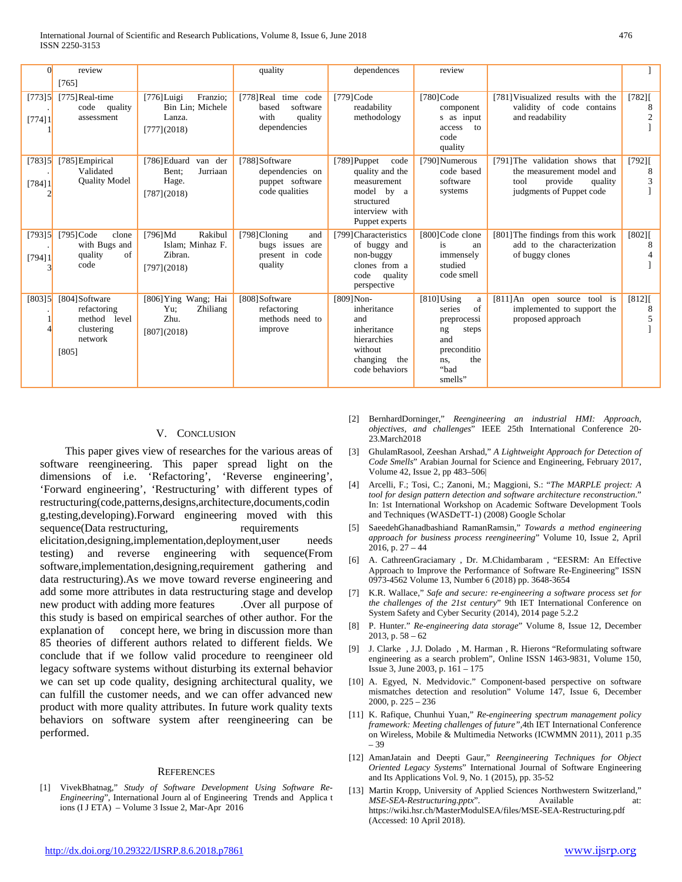| $\Omega$           | review                                                                         |                                                                       | quality                                                                           | dependences                                                                                                            | review                                                                                                                  |                                                                                                                        |                                  |
|--------------------|--------------------------------------------------------------------------------|-----------------------------------------------------------------------|-----------------------------------------------------------------------------------|------------------------------------------------------------------------------------------------------------------------|-------------------------------------------------------------------------------------------------------------------------|------------------------------------------------------------------------------------------------------------------------|----------------------------------|
|                    | [765]                                                                          |                                                                       |                                                                                   |                                                                                                                        |                                                                                                                         |                                                                                                                        |                                  |
| [773]5<br>[774]1   | [775] Real-time<br>quality<br>code<br>assessment                               | [776]Luigi<br>Franzio:<br>Bin Lin; Michele<br>Lanza.<br>[777] (2018)  | $[778]$ Real<br>time code<br>software<br>based<br>with<br>quality<br>dependencies | [779] Code<br>readability<br>methodology                                                                               | [780] Code<br>component<br>s as input<br>access<br>to<br>code                                                           | [781] Visualized results with the<br>validity of code contains<br>and readability                                      | $[782]$ [<br>8<br>$\overline{c}$ |
|                    |                                                                                |                                                                       |                                                                                   |                                                                                                                        | quality                                                                                                                 |                                                                                                                        |                                  |
| [783]5<br>[784]1   | [785] Empirical<br>Validated<br><b>Ouality Model</b>                           | [786] Eduard<br>van der<br>Jurriaan<br>Bent;<br>Hage.<br>[787] (2018) | [788]Software<br>dependencies on<br>puppet software<br>code qualities             | [789] Puppet<br>code<br>quality and the<br>measurement<br>model by a<br>structured<br>interview with<br>Puppet experts | [790] Numerous<br>code based<br>software<br>systems                                                                     | [791] The validation shows that<br>the measurement model and<br>provide<br>quality<br>tool<br>judgments of Puppet code | $[792]$ [<br>8<br>3              |
| $[793]5$<br>[794]1 | $[795] \text{Code}$<br>clone<br>with Bugs and<br>of<br>quality<br>code         | [796] Md<br>Rakibul<br>Islam; Minhaz F.<br>Zibran.<br>[797] (2018)    | [798]Cloning<br>and<br>bugs issues are<br>present in code<br>quality              | [799] Characteristics<br>of buggy and<br>non-buggy<br>clones from a<br>code<br>quality<br>perspective                  | [800] Code clone<br>is<br>an<br>immensely<br>studied<br>code smell                                                      | [801] The findings from this work<br>add to the characterization<br>of buggy clones                                    | $[802]$ [<br>8                   |
| [803]5             | [804]Software<br>refactoring<br>method level<br>clustering<br>network<br>[805] | [806] Ying Wang; Hai<br>Yu:<br>Zhiliang<br>Zhu.<br>[807] (2018)       | [808]Software<br>refactoring<br>methods need to<br>improve                        | [809]Non-<br>inheritance<br>and<br>inheritance<br>hierarchies<br>without<br>changing<br>the<br>code behaviors          | $[810]$ Using<br>a<br>of<br>series<br>preprocessi<br>ng<br>steps<br>and<br>preconditio<br>the<br>ns.<br>"bad<br>smells" | [811] An open source tool is<br>implemented to support the<br>proposed approach                                        | $[812]$ [<br>8<br>5              |

## V. CONCLUSION

 This paper gives view of researches for the various areas of software reengineering. This paper spread light on the dimensions of i.e. 'Refactoring', 'Reverse engineering', 'Forward engineering', 'Restructuring' with different types of restructuring(code,patterns,designs,architecture,documents,codin g,testing,developing).Forward engineering moved with this sequence(Data restructuring, requirements elicitation,designing,implementation,deployment,user needs testing) and reverse engineering with sequence(From software,implementation,designing,requirement gathering and data restructuring).As we move toward reverse engineering and add some more attributes in data restructuring stage and develop new product with adding more features . Over all purpose of this study is based on empirical searches of other author. For the explanation of concept here, we bring in discussion more than 85 theories of different authors related to different fields. We conclude that if we follow valid procedure to reengineer old legacy software systems without disturbing its external behavior we can set up code quality, designing architectural quality, we can fulfill the customer needs, and we can offer advanced new product with more quality attributes. In future work quality texts behaviors on software system after reengineering can be performed.

#### **REFERENCES**

[1] VivekBhatnag," *Study of Software Development Using Software Re-Engineering*", International Journ al of Engineering Trends and Applica t ions (I J ETA) – Volume 3 Issue 2, Mar-Apr 2016

- [2] BernhardDorninger," *Reengineering an industrial HMI: Approach, objectives, and challenges*" IEEE 25th International Conference 20- 23.March2018
- [3] GhulamRasool, Zeeshan Arshad," *A Lightweight Approach for Detection of Code Smells*" Arabian Journal for Science and Engineering, February 2017, Volume 42, Issue 2, pp 483–506|
- [4] Arcelli, F.; Tosi, C.; Zanoni, M.; Maggioni, S.: "*The MARPLE project: A tool for design pattern detection and software architecture reconstruction*." In: 1st International Workshop on Academic Software Development Tools and Techniques (WASDeTT-1) (2008) Google Scholar
- [5] SaeedehGhanadbashiand RamanRamsin," *Towards a method engineering approach for business process reengineering*" Volume 10, Issue 2, April 2016, p.  $27 - 44$
- [6] A. CathreenGraciamary , Dr. M.Chidambaram , "EESRM: An Effective Approach to Improve the Performance of Software Re-Engineering" ISSN 0973-4562 Volume 13, Number 6 (2018) pp. 3648-3654
- [7] K.R. Wallace," *Safe and secure: re-engineering a software process set for the challenges of the 21st century*" 9th IET International Conference on System Safety and Cyber Security (2014), 2014 page 5.2.2
- [8] P. Hunter." *Re-engineering data storage*" Volume 8, Issue 12, December 2013, p. 58 – 62
- [9] J. Clarke , J.J. Dolado , M. Harman , R. Hierons "Reformulating software engineering as a search problem", Online ISSN 1463-9831, Volume 150, Issue 3, June 2003, p. 161 – 175
- [10] A. Egyed, N. Medvidovic." Component-based perspective on software mismatches detection and resolution" Volume 147, Issue 6, December 2000, p. 225 – 236
- [11] K. Rafique, Chunhui Yuan," *Re-engineering spectrum management policy framework: Meeting challenges of future",*4th IET International Conference on Wireless, Mobile & Multimedia Networks (ICWMMN 2011), 2011 p.35 – 39
- [12] AmanJatain and Deepti Gaur," *Reengineering Techniques for Object Oriented Legacy Systems*" International Journal of Software Engineering and Its Applications Vol. 9, No. 1 (2015), pp. 35-52
- [13] Martin Kropp, University of Applied Sciences Northwestern Switzerland," *MSE-SEA-Restructuring.pptx*". Available at: https://wiki.hsr.ch/MasterModulSEA/files/MSE-SEA-Restructuring.pdf (Accessed: 10 April 2018).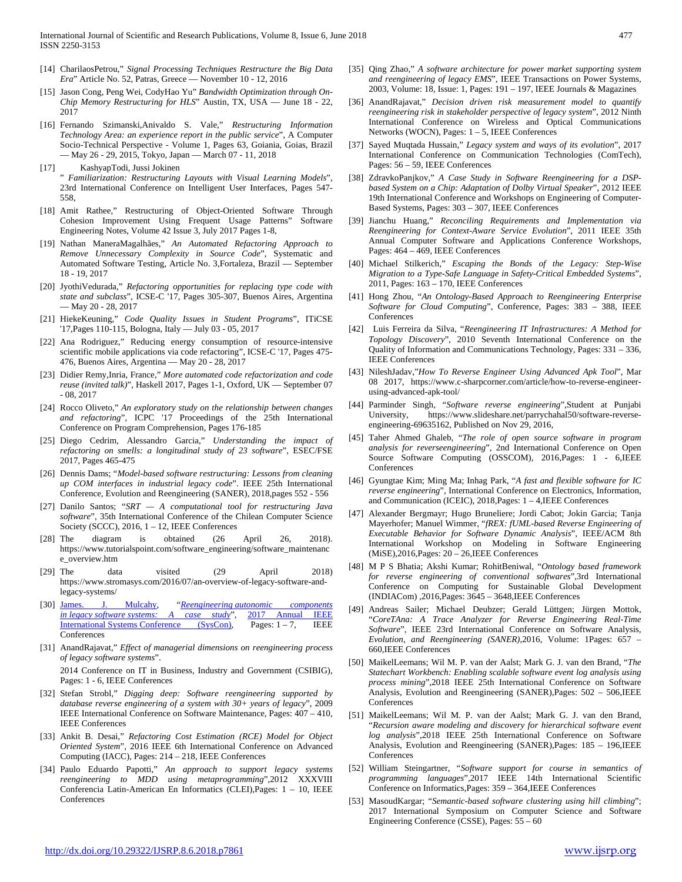- [14] CharilaosPetrou," *Signal Processing Techniques Restructure the Big Data Era*" Article No. 52, Patras, Greece — November 10 - 12, 2016
- [15] Jason Cong, Peng Wei, CodyHao Yu" *Bandwidth Optimization through On-Chip Memory Restructuring for HLS*" Austin, TX, USA — June 18 - 22, 2017
- [16] Fernando Szimanski,Anivaldo S. Vale," *Restructuring Information Technology Area: an experience report in the public service*", A Computer Socio-Technical Perspective - Volume 1, Pages 63, Goiania, Goias, Brazil — May 26 - 29, 2015, Tokyo, Japan — March 07 - 11, 2018
- [17] KashyapTodi, Jussi Jokinen " *Familiarization: Restructuring Layouts with Visual Learning Models*", 23rd International Conference on Intelligent User Interfaces, Pages 547- 558,
- [18] Amit Rathee," Restructuring of Object-Oriented Software Through Cohesion Improvement Using Frequent Usage Patterns" Software Engineering Notes, Volume 42 Issue 3, July 2017 Pages 1-8,
- [19] Nathan ManeraMagalhães," *An Automated Refactoring Approach to Remove Unnecessary Complexity in Source Code*", Systematic and Automated Software Testing, Article No. 3,Fortaleza, Brazil — September 18 - 19, 2017
- [20] JyothiVedurada," *Refactoring opportunities for replacing type code with state and subclass*", ICSE-C '17, Pages 305-307, Buenos Aires, Argentina — May 20 - 28, 2017
- [21] HiekeKeuning," *Code Quality Issues in Student Programs*", ITiCSE '17,Pages 110-115, Bologna, Italy — July 03 - 05, 2017
- [22] Ana Rodriguez," Reducing energy consumption of resource-intensive scientific mobile applications via code refactoring", ICSE-C '17, Pages 475- 476, Buenos Aires, Argentina — May 20 - 28, 2017
- [23] Didier Remy,Inria, France," *More automated code refactorization and code reuse (invited talk)*", Haskell 2017, Pages 1-1, Oxford, UK — September 07 - 08, 2017
- [24] Rocco Oliveto," *An exploratory study on the relationship between changes and refactoring*", ICPC '17 Proceedings of the 25th International Conference on Program Comprehension, Pages 176-185
- [25] Diego Cedrim, Alessandro Garcia," *Understanding the impact of refactoring on smells: a longitudinal study of 23 software*", ESEC/FSE 2017, Pages 465-475
- [26] Dennis Dams; "*Model-based software restructuring: Lessons from cleaning up COM interfaces in industrial legacy code*". IEEE 25th International Conference, Evolution and Reengineering (SANER), 2018,pages 552 - 556
- [27] Danilo Santos; "*SRT — A computational tool for restructuring Java software*", 35th International Conference of the Chilean Computer Science Society (SCCC), 2016, 1 – 12, IEEE Conferences
- [28] The diagram is obtained (26 April 26, 2018). https://www.tutorialspoint.com/software\_engineering/software\_maintenanc e\_overview.htm
- [29] The data visited (29 April 2018) https://www.stromasys.com/2016/07/an-overview-of-legacy-software-andlegacy-systems/
- [30] [James. J. Mulcahy,](https://ieeexplore.ieee.org/search/searchresult.jsp?searchWithin=%22Authors%22:.QT.James.%20J.%20Mulcahy.QT.&newsearch=true) "*Reengineering [autonomic components](https://ieeexplore.ieee.org/document/7934780/)  in legacy software systems:* A case *study*", International Systems [Conference \(SysCon\)](https://ieeexplore.ieee.org/xpl/mostRecentIssue.jsp?punumber=7932286)*,* Pages: 1 – 7*,* IEEE **Conferences**
- [31] AnandRajavat," *Effect of managerial dimensions on reengineering process of legacy software systems*".

2014 Conference on IT in Business, Industry and Government (CSIBIG), Pages: 1 - 6, IEEE Conferences

- [32] Stefan Strobl," *Digging deep: Software reengineering supported by database reverse engineering of a system with 30+ years of legacy*", 2009 IEEE International Conference on Software Maintenance*,* Pages: 407 – 410*,* IEEE Conferences
- [33] Ankit B. Desai," *Refactoring Cost Estimation (RCE) Model for Object Oriented System*"*,* 2016 IEEE 6th International Conference on Advanced Computing (IACC)*,* Pages: 214 – 218*,* IEEE Conferences
- [34] Paulo Eduardo Papotti," *An approach to support legacy systems reengineering to MDD using metaprogramming*",2012 XXXVIII Conferencia Latin-American En Informatics (CLEI)*,*Pages: 1 – 10*,* IEEE **Conferences**
- [35] Qing Zhao," *A software architecture for power market supporting system and reengineering of legacy EMS*", IEEE Transactions on Power Systems*,* 2003, Volume: 18, Issue: 1*,* Pages: 191 – 197*,* IEEE Journals & Magazines
- [36] AnandRajavat," *Decision driven risk measurement model to quantify reengineering risk in stakeholder perspective of legacy system*", 2012 Ninth International Conference on Wireless and Optical Communications Networks (WOCN), Pages: 1 – 5, IEEE Conferences
- [37] Sayed Muqtada Hussain," *Legacy system and ways of its evolution*", 2017 International Conference on Communication Technologies (ComTech), Pages: 56 – 59, IEEE Conferences
- [38] ZdravkoPanjkov," *A Case Study in Software Reengineering for a DSPbased System on a Chip: Adaptation of Dolby Virtual Speaker*", 2012 IEEE 19th International Conference and Workshops on Engineering of Computer-Based Systems, Pages: 303 – 307, IEEE Conferences
- [39] Jianchu Huang," *Reconciling Requirements and Implementation via Reengineering for Context-Aware Service Evolution*", 2011 IEEE 35th Annual Computer Software and Applications Conference Workshops, Pages: 464 – 469, IEEE Conferences
- [40] Michael Stilkerich," *Escaping the Bonds of the Legacy: Step-Wise Migration to a Type-Safe Language in Safety-Critical Embedded Systems*", 2011, Pages: 163 – 170, IEEE Conferences
- [41] Hong Zhou, "*An Ontology-Based Approach to Reengineering Enterprise Software for Cloud Computing*", Conference, Pages: 383 – 388, IEEE **Conferences**
- [42] Luis Ferreira da Silva, "*Reengineering IT Infrastructures: A Method for Topology Discovery*", 2010 Seventh International Conference on the Quality of Information and Communications Technology, Pages: 331 – 336, IEEE Conferences
- [43] NileshJadav,"*How To Reverse Engineer Using Advanced Apk Tool*", Mar 08 2017, https://www.c-sharpcorner.com/article/how-to-reverse-engineerusing-advanced-apk-tool/
- [44] Parminder Singh, "*Software reverse engineering*",Student at Punjabi https://www.slideshare.net/parrychahal50/software-reverseengineering-69635162, Published on Nov 29, 2016,
- [45] Taher Ahmed Ghaleb, "*The role of open source software in program analysis for reverseengineering*", 2nd International Conference on Open Source Software Computing (OSSCOM), 2016,Pages: 1 - 6,IEEE **Conferences**
- [46] Gyungtae Kim; Ming Ma; Inhag Park, "*A fast and flexible software for IC reverse engineering*", International Conference on Electronics, Information, and Communication (ICEIC), 2018,Pages: 1 – 4,IEEE Conferences
- [47] Alexander Bergmayr; Hugo Bruneliere; Jordi Cabot; Jokin Garcia; Tanja Mayerhofer; Manuel Wimmer, "*fREX: fUML-based Reverse Engineering of Executable Behavior for Software Dynamic Analysis*", IEEE/ACM 8th International Workshop on Modeling in Software Engineering (MiSE),2016,Pages: 20 – 26,IEEE Conferences
- [48] M P S Bhatia; Akshi Kumar; RohitBeniwal, "*Ontology based framework for reverse engineering of conventional softwares*",3rd International Conference on Computing for Sustainable Global Development (INDIACom) ,2016,Pages: 3645 – 3648,IEEE Conferences
- [49] Andreas Sailer; Michael Deubzer; Gerald Lüttgen; Jürgen Mottok, "*CoreTAna: A Trace Analyzer for Reverse Engineering Real-Time Software*", IEEE 23rd International Conference on Software Analysis, *Evolution, and Reengineering (SANER)*,2016, Volume: 1Pages: 657 – 660,IEEE Conferences
- [50] MaikelLeemans; Wil M. P. van der Aalst; Mark G. J. van den Brand, "*The Statechart Workbench: Enabling scalable software event log analysis using process mining*",2018 IEEE 25th International Conference on Software Analysis, Evolution and Reengineering (SANER),Pages: 502 – 506,IEEE **Conferences**
- [51] MaikelLeemans; Wil M. P. van der Aalst; Mark G. J. van den Brand, "*Recursion aware modeling and discovery for hierarchical software event log analysis*",2018 IEEE 25th International Conference on Software Analysis, Evolution and Reengineering (SANER),Pages: 185 – 196,IEEE Conferences
- [52] William Steingartner, "*Software support for course in semantics of programming languages*",2017 IEEE 14th International Scientific Conference on Informatics,Pages: 359 – 364,IEEE Conferences
- [53] MasoudKargar; "*Semantic-based software clustering using hill climbing*"; 2017 International Symposium on Computer Science and Software Engineering Conference (CSSE), Pages: 55 – 60